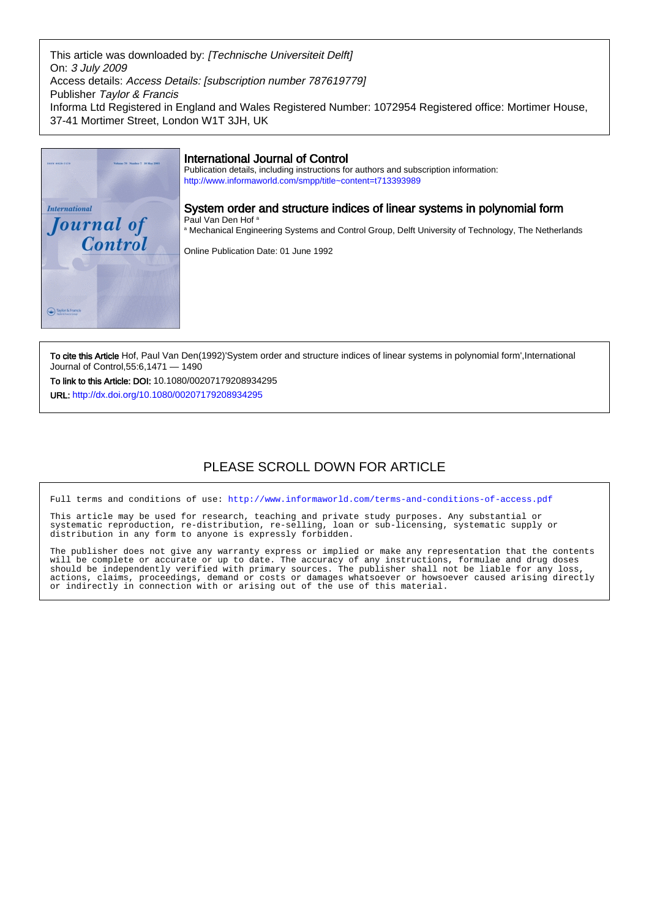This article was downloaded by: [Technische Universiteit Delft] On: 3 July 2009 Access details: Access Details: [subscription number 787619779] Publisher Taylor & Francis Informa Ltd Registered in England and Wales Registered Number: 1072954 Registered office: Mortimer House, 37-41 Mortimer Street, London W1T 3JH, UK



To cite this Article Hof, Paul Van Den(1992)'System order and structure indices of linear systems in polynomial form', International Journal of Control,55:6,1471 — 1490

To link to this Article: DOI: 10.1080/00207179208934295 URL: <http://dx.doi.org/10.1080/00207179208934295>

# PLEASE SCROLL DOWN FOR ARTICLE

Full terms and conditions of use:<http://www.informaworld.com/terms-and-conditions-of-access.pdf>

This article may be used for research, teaching and private study purposes. Any substantial or systematic reproduction, re-distribution, re-selling, loan or sub-licensing, systematic supply or distribution in any form to anyone is expressly forbidden.

The publisher does not give any warranty express or implied or make any representation that the contents will be complete or accurate or up to date. The accuracy of any instructions, formulae and drug doses should be independently verified with primary sources. The publisher shall not be liable for any loss, actions, claims, proceedings, demand or costs or damages whatsoever or howsoever caused arising directly or indirectly in connection with or arising out of the use of this material.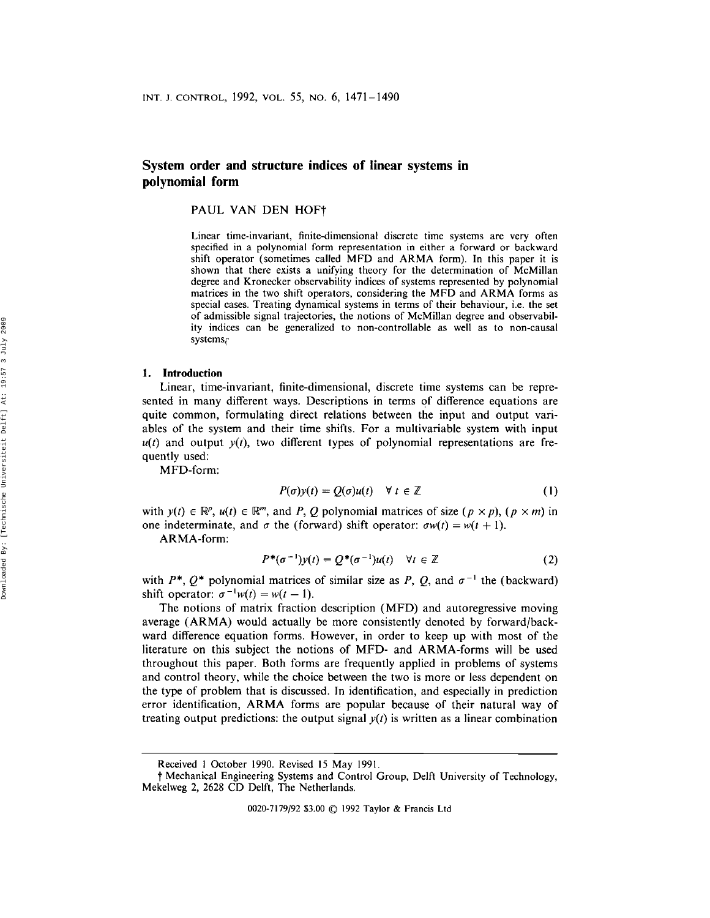# **System order and structure indices of linear systems in polynomial form**

PAUL VAN DEN HOFt

Linear time-invariant, finite-dimensional discrete time systems are very often specified in a polynomial form representation in either a forward or backward shift operator (sometimes called MFD and ARMA form). In this paper it is shown that there exists a unifying theory for the determination of McMillan degree and Kronecker observability indices of systems represented by polynomial matrices in the two shift operators, considering the MFD and ARMA forms as special cases. Treating dynamical systems in terms of their behaviour, i.e. the set of admissible signal trajectories, the notions of McMillan degree and observability indices can be generalized to non-controllable as well as to non-causal systems

#### 1. **Introduction**

Linear, time-invariant, finite-dimensional, discrete time systems can be represented in many different ways. Descriptions in terms of difference equations are quite common, formulating direct relations between the input and output variables of the system and their time shifts. For a multivariable system with input  $u(t)$  and output  $y(t)$ , two different types of polynomial representations are frequently used:

MFD-form:

$$
P(\sigma)y(t) = Q(\sigma)u(t) \quad \forall \ t \in \mathbb{Z}
$$
 (1)

with  $y(t) \in \mathbb{R}^p$ ,  $u(t) \in \mathbb{R}^m$ , and *P*, *Q* polynomial matrices of size  $(p \times p)$ ,  $(p \times m)$  in one indeterminate, and  $\sigma$  the (forward) shift operator:  $\sigma w(t) = w(t+1)$ .

ARMA-form:

$$
P^*(\sigma^{-1})y(t) = Q^*(\sigma^{-1})u(t) \quad \forall t \in \mathbb{Z}
$$
 (2)

with  $P^*$ ,  $Q^*$  polynomial matrices of similar size as P, Q, and  $\sigma^{-1}$  the (backward) shift operator:  $\sigma^{-1}w(t) = w(t-1)$ .

The notions of matrix fraction description (MFD) and autoregressive moving average (ARMA) would actually be more consistently denoted by forward/backward difference equation forms. However, in order to keep up with most of the literature on this subject the notions of MFD- and ARMA-forms will be used throughout this paper. Both forms are frequently applied in problems of systems and control theory, while the choice between the two is more or less dependent on the type of problem that is discussed. In identification, and especially in prediction error identification, ARMA forms are popular because of their natural way of treating output predictions: the output signal  $y(t)$  is written as a linear combination

0020-7179{92 \$3.00 © 1992 Taylor & Francis Ltd

Received I October 1990. Revised 15 May 1991.

t Mechanical Engineering Systems and Control Group, Delft University of Technology, Mekelweg 2, 2628 CD Delft, The Netherlands.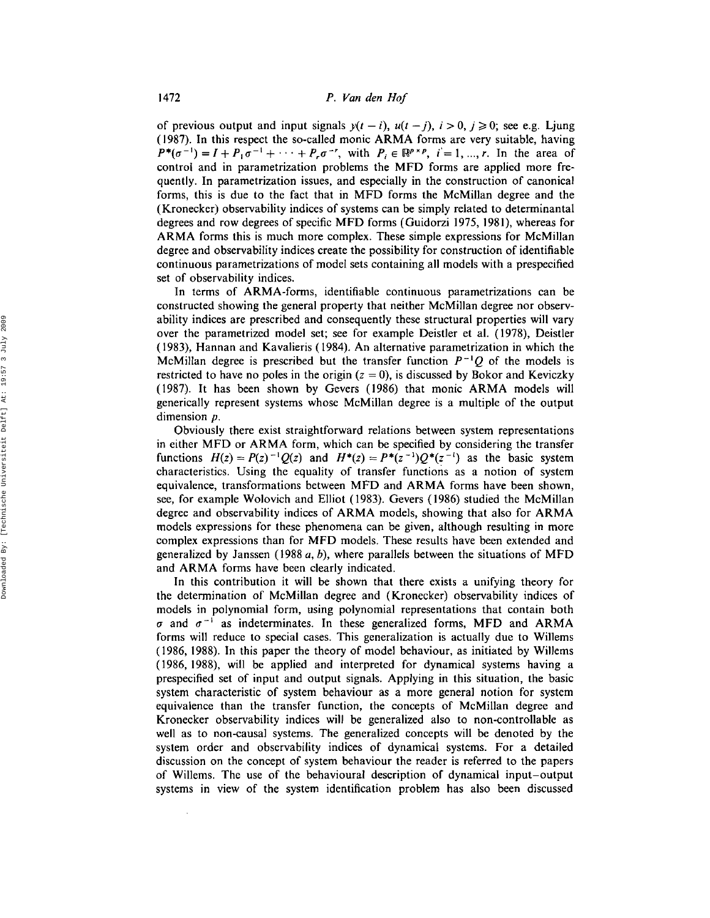of previous output and input signals  $y(t - i)$ ,  $u(t - j)$ ,  $i > 0$ ,  $j \ge 0$ ; see e.g. Ljung (1987). In this respect the so-called monic ARMA forms are very suitable, having  $P^*(\sigma^{-1}) = I + P_1 \sigma^{-1} + \cdots + P_r \sigma^{-r}$ , with  $P_i \in \mathbb{R}^{p \times p}$ ,  $i = 1, ..., r$ . In the area of control and in parametrization problems the MFD forms are applied more frequently. In parametrization issues, and especially in the construction of canonical forms, this is due to the fact that in MFD forms the McMillan degree and the (Kronecker) observability indices of systems can be simply related to determinantal degrees and row degrees of specific MFD forms (Guidorzi 1975, 1981), whereas for ARMA forms this is much more complex. These simple expressions for McMillan degree and observability indices create the possibility for construction of identifiable continuous parametrizations of model sets containing all models with a prespecified set of observability indices.

In terms of ARMA-forms, identifiable continuous parametrizations can be constructed showing the general property that neither McMillan degree nor observability indices are prescribed and consequently these structural properties will vary over the parametrized model set; see for example Deistler et al. (1978), Deistler (1983), Hannan and Kavalieris (1984). An alternative parametrization in which the McMillan degree is prescribed but the transfer function  $P^{-1}Q$  of the models is restricted to have no poles in the origin ( $z = 0$ ), is discussed by Bokor and Keviczky (1987). It has been shown by Gevers (1986) that monic ARMA models will generically represent systems whose McMillan degree is a multiple of the output dimension *p*.

Obviously there exist straightforward relations between system representations in either MFD or ARMA form, which can be specified by considering the transfer functions  $H(z) = P(z)^{-1}Q(z)$  and  $H^*(z) = P^*(z^{-1})Q^*(z^{-1})$  as the basic system characteristics. Using the equality of transfer functions as a notion of system equivalence, transformations between MFD and ARMA forms have been shown, see, for example Wolovich and Elliot (1983). Gevers (1986) studied the McMillan degree and observability indices of ARMA models, showing that also for ARMA models expressions for these phenomena can be given, although resulting in more complex expressions than for MFD models. These results have been extended and generalized by Janssen (1988 *a,* b), where parallels between the situations of MFD and ARMA forms have been clearly indicated.

In this contribution it will be shown that there exists a unifying theory for the determination of McMillan degree and (Kronecker) observability indices of models in polynomial form, using polynomial representations that contain both  $\sigma$  and  $\sigma^{-1}$  as indeterminates. In these generalized forms, MFD and ARMA forms will reduce to special cases. This generalization is actually due to Willems (1986, 1988). In this paper the theory of model behaviour, as initiated by Willems (1986, 1988), will be applied and interpreted for dynamical systems having a prespecified set of input and output signals. Applying in this situation, the basic system characteristic of system behaviour as a more general notion for system equivalence than the transfer function, the concepts of McMillan degree and Kronecker observability indices will be generalized also to non-controllable as well as to non-causal systems. The generalized concepts will be denoted by the system order and observability indices of dynamical systems. For a detailed discussion on the concept of system behaviour the reader is referred to the papers of Willems. The use of the behavioural description of dynamical input-output systems in view of the system identification problem has also been discussed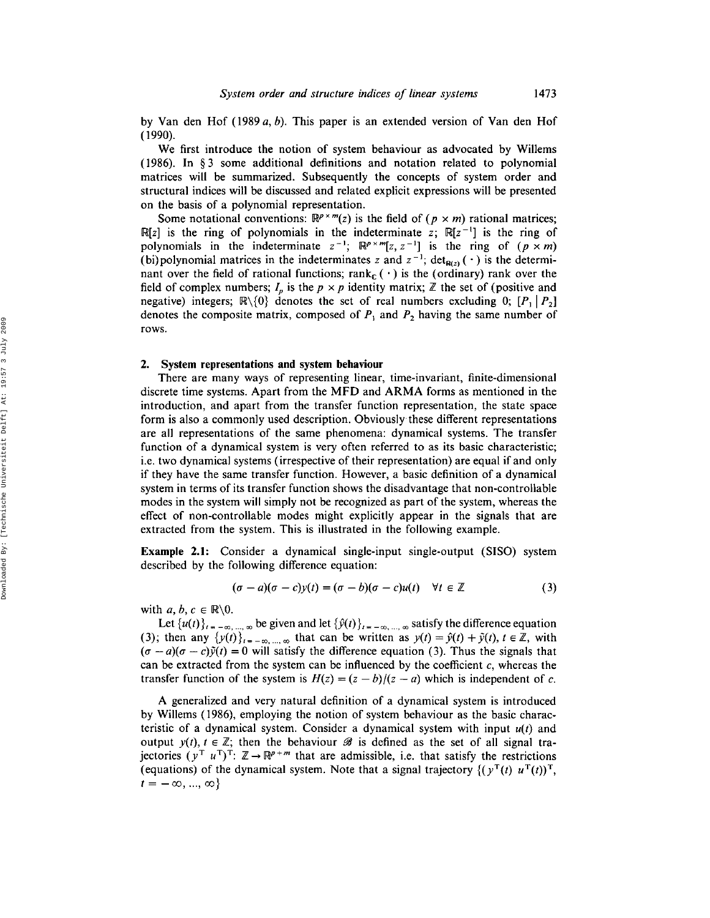by Van den Hof (1989 *a,* b). This paper is an extended version of Van den Hof (1990).

We first introduce the notion of system behaviour as advocated by Willems (1986). In § 3 some additional definitions and notation related to polynomial matrices will be summarized. Subsequently the concepts of system order and structural indices will be discussed and related explicit expressions will be presented on the basis of a polynomial representation.

Some notational conventions:  $\mathbb{R}^{p \times m}(z)$  is the field of  $(p \times m)$  rational matrices; R[z] is the ring of polynomials in the indeterminate z;  $R[z^{-1}]$  is the ring of polynomials in the indeterminate  $z^{-1}$ ;  $\mathbb{R}^{p \times m}[z, z^{-1}]$  is the ring of  $(p \times m)$ (bi) polynomial matrices in the indeterminates z and  $z^{-1}$ ; det<sub>R(z)</sub> ( $\cdot$ ) is the determinant over the field of rational functions; rank<sub>c</sub> ( $\cdot$ ) is the (ordinary) rank over the field of complex numbers;  $I_p$  is the  $p \times p$  identity matrix;  $\mathbb{Z}$  the set of (positive and negative) integers;  $\mathbb{R}\setminus\{0\}$  denotes the set of real numbers excluding 0;  $[P_1 | P_2]$ denotes the composite matrix, composed of  $P_1$  and  $P_2$  having the same number of rows.

#### 2. System representations and system behaviour

There are many ways of representing linear, time-invariant, finite-dimensional discrete time systems. Apart from the MFD and ARMA forms as mentioned in the introduction, and apart from the transfer function representation, the state space form is also a commonly used description. Obviously these different representations are all representations of the same phenomena: dynamical systems. The transfer function of a dynamical system is very often referred to as its basic characteristic; i.e. two dynamical systems (irrespective of their representation) are equal if and only if they have the same transfer function. However, a basic definition of a dynamical system in terms of its transfer function shows the disadvantage that non-controllable modes in the system will simply not be recognized as part of the system, whereas the effect of non-controllable modes might explicitly appear in the signals that are extracted from the system. This is illustrated in the following example.

**Example 2.1:** Consider a dynamical single-input single-output (SISO) system described by the following difference equation:

$$
(\sigma - a)(\sigma - c)y(t) = (\sigma - b)(\sigma - c)u(t) \quad \forall t \in \mathbb{Z}
$$
 (3)

with  $a, b, c \in \mathbb{R} \backslash 0$ .

Let  $\{u(t)\}_{t=-\infty, \dots, \infty}$  be given and let  $\{\hat{y}(t)\}_{t=-\infty, \dots, \infty}$  satisfy the difference equation (3); then any  $\{y(t)\}_{t=-\infty,\dots,\infty}$  that can be written as  $y(t) = \hat{y}(t) + \tilde{y}(t), t \in \mathbb{Z}$ , with  $(\sigma - a)(\sigma - c)\hat{y}(t) = 0$  will satisfy the difference equation (3). Thus the signals that can be extracted from the system can be influenced by the coefficient  $c$ , whereas the transfer function of the system is  $H(z) = (z - b)/(z - a)$  which is independent of c.

A generalized and very natural definition of a dynamical system is introduced by Willems (1986), employing the notion of system behaviour as the basic characteristic of a dynamical system. Consider a dynamical system with input *u(t)* and output  $y(t)$ ,  $t \in \mathbb{Z}$ ; then the behaviour  $\mathscr{B}$  is defined as the set of all signal trajectories ( $y^T u^T$ )<sup>T</sup>:  $\mathbb{Z} \rightarrow \mathbb{R}^{p+m}$  that are admissible, i.e. that satisfy the restrictions (equations) of the dynamical system. Note that a signal trajectory  $\{(\gamma^T(t), u^T(t))\}$ ,  $t = -\infty, ..., \infty$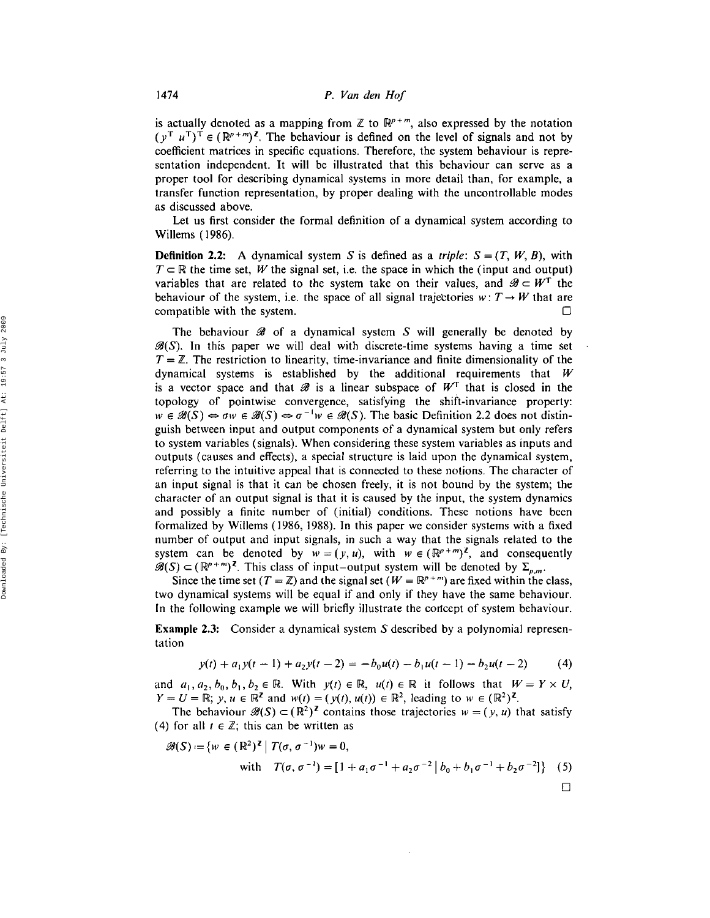is actually denoted as a mapping from  $\mathbb Z$  to  $\mathbb R^{p+m}$ , also expressed by the notation  $(y^T u^T)^T \in (\mathbb{R}^{p+m})^{\mathbb{Z}}$ . The behaviour is defined on the level of signals and not by coefficient matrices in specific equations. Therefore, the system behaviour is representation independent. It will be illustrated that this behaviour can serve as a proper tool for describing dynamical systems in more detail than, for example, a transfer function representation, by proper dealing with the uncontrollable modes as discussed above.

Let us first consider the formal definition of a dynamical system according to Willems (1986).

**Definition 2.2:** A dynamical system S is defined as a *triple*:  $S = (T, W, B)$ , with  $T \subset \mathbb{R}$  the time set, *W* the signal set, i.e. the space in which the (input and output) variables that are related to the system take on their values, and  $\mathscr{B} \subset W^T$  the behaviour of the system, i.e. the space of all signal trajectories  $w: T \rightarrow W$  that are compatible with the system.  $\Box$ 

The behaviour  $\mathscr B$  of a dynamical system S will generally be denoted by  $\mathscr{B}(S)$ . In this paper we will deal with discrete-time systems having a time set  $T = \mathbb{Z}$ . The restriction to linearity, time-invariance and finite dimensionality of the dynamical systems is established by the additional requirements that *W* is a vector space and that  $\mathcal{B}$  is a linear subspace of  $W<sup>T</sup>$  that is closed in the topology of pointwise convergence, satisfying the shift-invariance property:  $w \in \mathscr{B}(S) \Leftrightarrow \sigma w \in \mathscr{B}(S) \Leftrightarrow \sigma^{-1}w \in \mathscr{B}(S)$ . The basic Definition 2.2 does not distinguish between input and output components of a dynamical system but only refers to system variables (signals). When considering these system variables as inputs and outputs (causes and effects), a special structure is laid upon the dynamical system, referring to the intuitive appeal that is connected to these notions. The character of an input signal is that it can be chosen freely, it is not bound by the system; the character of an output signal is that it is caused by the input, the system dynamics and possibly a finite number of (initial) conditions. These notions have been formalized by Willems (1986, 1988). In this paper we consider systems with a fixed number of output and input signals, in such a way that the signals related to the system can be denoted by  $w = (y, u)$ , with  $w \in (\mathbb{R}^{p+m})^{\mathbb{Z}}$ , and consequently  $\mathscr{B}(S) \subset (\mathbb{R}^{p+m})^{\mathbb{Z}}$ . This class of input-output system will be denoted by  $\Sigma_{p,m}$ .

Since the time set ( $T = \mathbb{Z}$ ) and the signal set ( $W = \mathbb{R}^{p+m}$ ) are fixed within the class two dynamical systems will be equal if and only if they have the same behaviour. In the following example we will briefly illustrate the concept of system behaviour.

Example 2.3: Consider a dynamical system S described by a polynomial representation

$$
y(t) + a_1 y(t-1) + a_2 y(t-2) = -b_0 u(t) - b_1 u(t-1) - b_2 u(t-2)
$$
 (4)

and  $a_1, a_2, b_0, b_1, b_2 \in \mathbb{R}$ . With  $y(t) \in \mathbb{R}$ ,  $u(t) \in \mathbb{R}$  it follows that  $W = Y \times U$ ,  $Y = U = \mathbb{R}$ ;  $y, u \in \mathbb{R}^{\mathbb{Z}}$  and  $w(t) = (y(t), u(t)) \in \mathbb{R}^2$ , leading to  $w \in (\mathbb{R}^2)^{\mathbb{Z}}$ 

The behaviour  $\mathscr{B}(S) \subset (\mathbb{R}^2)^{\mathbb{Z}}$  contains those trajectories  $w = (y, u)$  that satisfy (4) for all  $t \in \mathbb{Z}$ ; this can be written as

$$
\mathscr{B}(S) := \{ w \in (\mathbb{R}^2)^{\mathbb{Z}} \mid T(\sigma, \sigma^{-1})w = 0, \n\text{with} \quad T(\sigma, \sigma^{-1}) = [1 + a_1 \sigma^{-1} + a_2 \sigma^{-2} | b_0 + b_1 \sigma^{-1} + b_2 \sigma^{-2}] \} \quad (5)
$$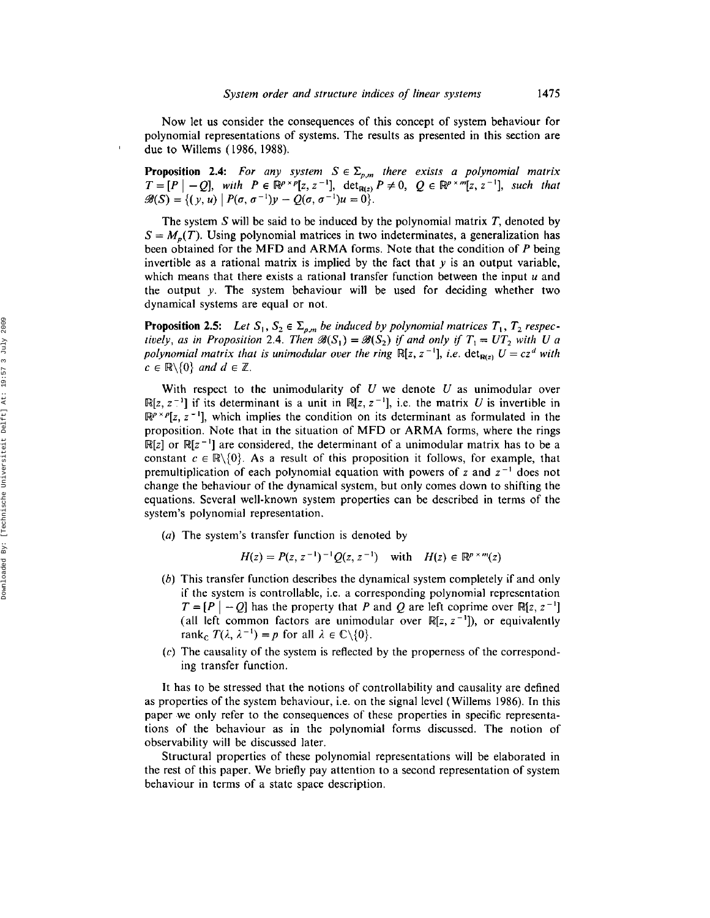Now let us consider the consequences of this concept of system behaviour for polynomial representations of systems. The results as presented in this section are due to Willems (1986, 1988).

**Proposition 2.4:** For any system  $S \in \Sigma_{p,m}$  there exists a polynomial matrix  $T=[P|-Q]$ , with  $P \in \mathbb{R}^{p \times p}[z, z^{-1}]$ ,  $\det_{\mathbb{R}(z)} P \neq 0$ ,  $Q \in \mathbb{R}^{p \times m}[z, z^{-1}]$ , *such that*  $\mathscr{B}(S) = \{ (y, u) \mid P(\sigma, \sigma^{-1})y - Q(\sigma, \sigma^{-1})u = 0 \}.$ 

The system  $S$  will be said to be induced by the polynomial matrix  $T$ , denoted by  $S = M_p(T)$ . Using polynomial matrices in two indeterminates, a generalization has been obtained for the MFD and ARMA forms. Note that the condition of *P* being invertible as a rational matrix is implied by the fact that  $y$  is an output variable which means that there exists a rational transfer function between the input *u* and the output y. The system behaviour will be used for deciding whether two dynamical systems are equal or not.

**Proposition 2.5:** Let  $S_1, S_2 \in \Sigma_{p,m}$  be induced by polynomial matrices  $T_1, T_2$  respec*tively, as in Proposition* 2.4. *Then*  $\mathscr{B}(S_1) = \mathscr{B}(S_2)$  *if and only if*  $T_1 = UT_2$  *with* U a polynomial matrix that is unimodular over the ring  $\mathbb{R}[z, z^{-1}]$ , *i.e.*  $\det_{\mathbf{R}(z)} U = cz^d$  with  $c \in \mathbb{R} \backslash \{0\}$  and  $d \in \mathbb{Z}$ .

With respect to the unimodularity of  $U$  we denote  $U$  as unimodular over  $\mathbb{R}[z, z^{-1}]$  if its determinant is a unit in  $\mathbb{R}[z, z^{-1}]$ , i.e. the matrix U is invertible in  $\mathbb{R}^{p \times p}[z, z^{-1}]$ , which implies the condition on its determinant as formulated in the proposition. Note that in the situation of MFD or ARMA forms, where the rings  $\mathbb{R}[z]$  or  $\mathbb{R}[z^{-1}]$  are considered, the determinant of a unimodular matrix has to be a constant  $c \in \mathbb{R} \setminus \{0\}$ . As a result of this proposition it follows, for example, that premultiplication of each polynomial equation with powers of z and  $z^{-1}$  does not change the behaviour of the dynamical system, but only comes down to shifting the equations. Several well-known system properties can be described in terms of the system's polynomial representation.

(a) The system's transfer function is denoted by

$$
H(z) = P(z, z^{-1})^{-1} Q(z, z^{-1}) \quad \text{with} \quad H(z) \in \mathbb{R}^{p \times m}(z)
$$

- (b) This transfer function describes the dynamical system completely if and only if the system is controllable, i.e. a corresponding polynomial representation  $T = [P \mid -Q]$  has the property that P and Q are left coprime over  $\mathbb{R}[z, z^{-1}]$ (all left common factors are unimodular over  $\mathbb{R}[z, z^{-1}]$ ), or equivalently rank<sub>c</sub>  $T(\lambda, \lambda^{-1}) = p$  for all  $\lambda \in \mathbb{C} \backslash \{0\}.$
- $(c)$  The causality of the system is reflected by the properness of the corresponding transfer function.

It has to be stressed that the notions of controllability and causality are defined as properties of the system behaviour, i.e. on the signal level (Willems 1986). In this paper we only refer to the consequences of these properties in specific representations of the behaviour as in the polynomial forms discussed. The notion of observability will be discussed later.

Structural properties of these polynomial representations will be elaborated in the rest of this paper. We briefly pay attention to a second representation of system behaviour in terms of a state space description.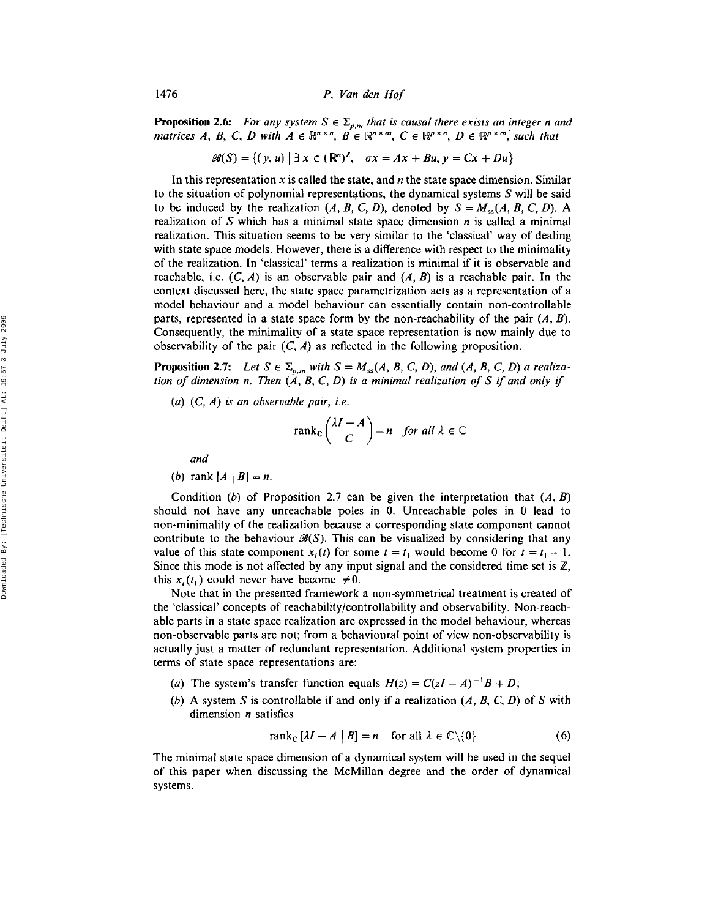**Proposition 2.6:** For any system  $S \in \Sigma_{p,m}$  that is causal there exists an integer *n* and *matrices A*, *B*, *C*, *D* with  $A \in \mathbb{R}^{n \times n}$ ,  $B \in \mathbb{R}^{n \times m}$ ,  $C \in \mathbb{R}^{p \times n}$ ,  $D \in \mathbb{R}^{p \times m}$ , such that

$$
\mathscr{B}(S) = \{ (y, u) \mid \exists x \in (\mathbb{R}^n)^{\mathbb{Z}}, \quad \sigma x = Ax + Bu, y = Cx + Du \}
$$

**In** this representation *x* is called the state, and *n* the state space dimension. Similar to the situation of polynomial representations, the dynamical systems  $S$  will be said to be induced by the realization  $(A, B, C, D)$ , denoted by  $S = M_{ss}(A, B, C, D)$ . A realization of S which has a minimal state space dimension *n* is called a minimal realization. This situation seems to be very similar to the 'classical' way of dealing with state space models. However, there is a difference with respect to the minimality of the realization. In 'classical' terms a realization is minimal if it is observable and reachable, i.e.  $(C, A)$  is an observable pair and  $(A, B)$  is a reachable pair. In the context discussed here, the state space parametrization acts as a representation of a model behaviour and a model behaviour can essentially contain non-controllable parts, represented in a state space form by the non-reachability of the pair  $(A, B)$ . Consequently, the minimality of a state space representation is now mainly due to observability of the pair  $(C, A)$  as reflected in the following proposition.

**Proposition 2.7:** Let  $S \in \Sigma_{p,m}$  with  $S = M_{ss}(A, B, C, D)$ , and  $(A, B, C, D)$  a realiza*tion* of dimension n. Then  $(A, B, C, D)$  is a minimal realization of S if and only if

*(a) (C, A) is an observable pair, i.e.*

$$
\operatorname{rank}_{\mathbb{C}}\left(\frac{\lambda I - A}{C}\right) = n \quad \text{for all } \lambda \in \mathbb{C}
$$

*and*

(*b*) rank  $[A | B] = n$ .

Condition (b) of Proposition 2.7 can be given the interpretation that  $(A, B)$ should not have any unreachable poles in O. Unreachable poles in 0 lead to non-minimality of the realization because a corresponding state component cannot contribute to the behaviour  $\mathcal{B}(S)$ . This can be visualized by considering that any value of this state component  $x_i(t)$  for some  $t = t_1$  would become 0 for  $t = t_1 + 1$ . Since this mode is not affected by any input signal and the considered time set is  $\mathbb{Z}$ , this  $x_i(t_1)$  could never have become  $\neq 0$ .

Note that in the presented framework a non-symmetrical treatment is created of the 'classical' concepts of reachability{controllability and observability. Non-reachable parts in a state space realization are expressed in the model behaviour, whereas non-observable parts are not; from a behavioural point of view non-observability is actually just a matter of redundant representation. Additional system properties in terms of state space representations are:

- (*a*) The system's transfer function equals  $H(z) = C(zI A)^{-1}B + D$ ;
- (b) A system S is controllable if and only if a realization  $(A, B, C, D)$  of S with dimension *n* satisfies

$$
rank_{\mathbb{C}}\left[\lambda I - A \mid B\right] = n \quad \text{for all } \lambda \in \mathbb{C} \setminus \{0\} \tag{6}
$$

The minimal state space dimension of a dynamical system will be used in the sequel of this paper when discussing the McMillan degree and the order of dynamical systems.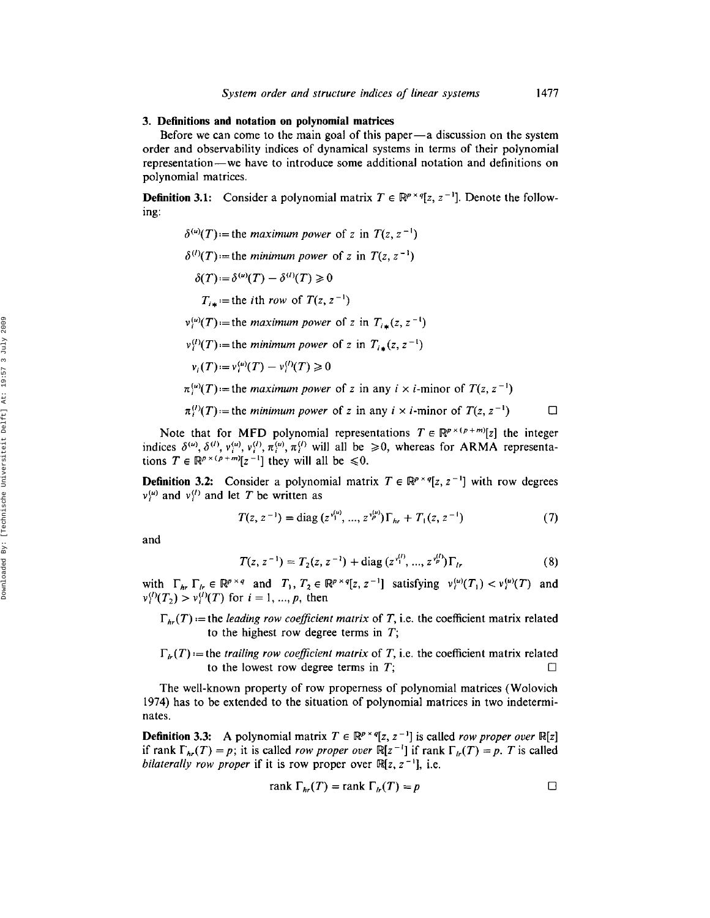#### 3. Definitions and notation on polynomial matrices

Before we can come to the main goal of this paper-a discussion on the system order and observability indices of dynamical systems in terms of their polynomial representation-we have to introduce some additional notation and definitions on polynomial matrices.

**Definition 3.1:** Consider a polynomial matrix  $T \in \mathbb{R}^{p \times q}[z, z^{-1}]$ . Denote the following:

- $\delta^{(u)}(T)$  = the *maximum* power of z in  $T(z, z^{-1})$
- $\delta^{(l)}(T)$  = the *minimum* power of z in  $T(z, z^{-1})$ 
	- $\delta(T) = \delta^{(u)}(T) \delta^{(l)}(T) \geq 0$ 
		- $T_{i\star}$  = the *i*th *row* of  $T(z, z^{-1})$
- $v_i^{(u)}(T)$  = the *maximum power* of z in  $T_{i\star}(z, z^{-1})$
- $v_i^{(l)}(T)$  = the *minimum* power of z in  $T_{i*}(z, z^{-1})$

$$
v_i(T) := v_i^{(u)}(T) - v_i^{(l)}(T) \ge 0
$$

- $\pi_i^{(u)}(T)$  = the *maximum* power of z in any  $i \times i$ -minor of  $T(z, z^{-1})$
- $\pi_i^{(l)}(T)$  = the *minimum power* of z in any  $i \times i$ -minor of  $T(z, z^{-1})$   $\Box$

Note that for MFD polynomial representations  $T \in \mathbb{R}^{p \times (p+m)}[z]$  the integer indices  $\delta^{(u)}, \delta^{(l)}, v_i^{(u)}, v_i^{(l)}, \pi_i^{(u)}, \pi_i^{(l)}$  will all be  $\geq 0$ , whereas for ARMA representations  $T \in \mathbb{R}^{p \times (p+m)}[z^{-1}]$  they will all be  $\leq 0$ .

**Definition 3.2:** Consider a polynomial matrix  $T \in \mathbb{R}^{p \times q}[z, z^{-1}]$  with row degrees  $v_i^{(u)}$  and  $v_i^{(l)}$  and let T be written as

$$
T(z, z^{-1}) = \text{diag}(z^{v_1^{(\mu)}}, ..., z^{v_p^{(\mu)}})\Gamma_{hr} + T_1(z, z^{-1})
$$
 (7)

and

$$
T(z, z^{-1}) = T_2(z, z^{-1}) + \text{diag}(z^{v_1^{(l)}}, ..., z^{v_p^{(l)}})\Gamma_{lr}
$$
\n(8)

with  $\Gamma_{hr} \Gamma_{hr} \in \mathbb{R}^{p \times q}$  and  $T_1, T_2 \in \mathbb{R}^{p \times q}[z, z^{-1}]$  satisfying  $v_i^{(u)}(T_1) < v_i^{(u)}(T)$  and  $\nu_i^{(i)}(T_2) > \nu_i^{(i)}(T)$  for  $i = 1, ..., p$ , then

- $\Gamma_{hr}(T)$  = the *leading row coefficient matrix* of *T*, i.e. the coefficient matrix related to the highest row degree terms in  $T$ ;
- $\Gamma_{h}(T)$  = the *trailing row coefficient matrix* of *T*, i.e. the coefficient matrix related to the lowest row degree terms in  $T$ ;  $\Box$

The well-known property of row properness of polynomial matrices (Wolovich 1974) has to be extended to the situation of polynomial matrices in two indeterminates.

**Definition 3.3:** A polynomial matrix  $T \in \mathbb{R}^{p \times q}[z, z^{-1}]$  is called *row proper over*  $\mathbb{R}[z]$ if rank  $\Gamma_{hr}(T) = p$ ; it is called *row proper over*  $\mathbb{R}[z^{-1}]$  if rank  $\Gamma_{hr}(T) = p$ . T is called *bilaterally row proper* if it is row proper over  $\mathbb{R}[z, z^{-1}]$ , i.e.

$$
rank \Gamma_{hr}(T) = rank \Gamma_{hr}(T) = p
$$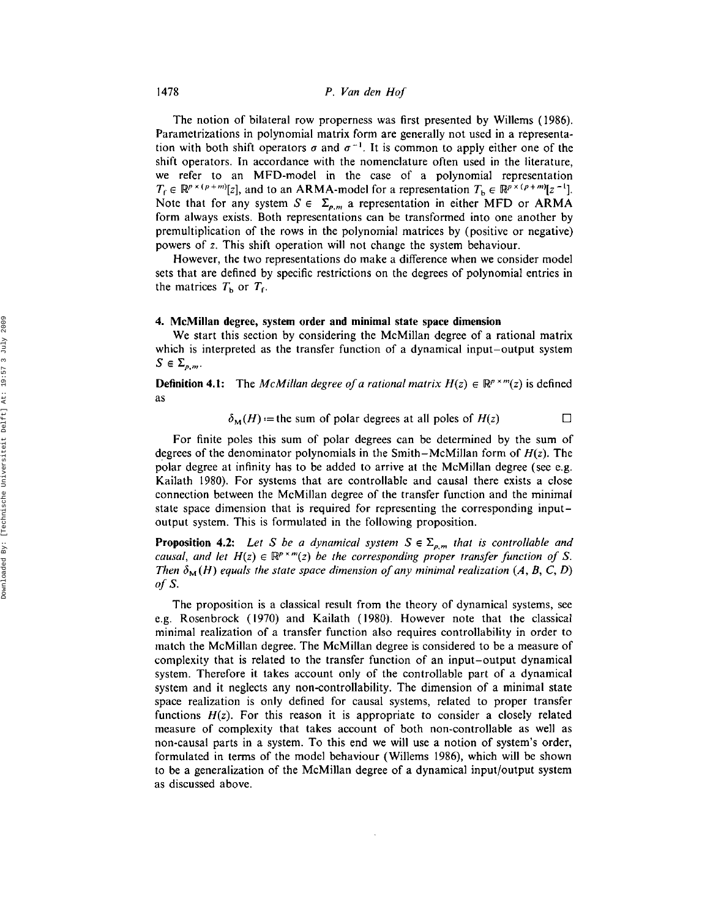The notion of bilateral row properness was first presented by Willems (1986). Parametrizations in polynomial matrix form are generally not used in a representation with both shift operators  $\sigma$  and  $\sigma^{-1}$ . It is common to apply either one of the shift operators. In accordance with the nomenclature often used in the literature, we refer to an MFD-model in the case of a polynomial representation  $T_f \in \mathbb{R}^{p \times (p+m)}[z]$ , and to an ARMA-model for a representation  $T_b \in \mathbb{R}^{p \times (p+m)}[z^{-1}]$ . Note that for any system  $S \in \Sigma_{\rho,m}$  a representation in either MFD or ARMA form always exists, Both representations can be transformed into one another by premultiplication of the rows in the polynomial matrices by (positive or negative) powers of z. This shift operation will not change the system behaviour.

However, the two representations do make a difference when we consider model sets that are defined by specific restrictions on the degrees of polynomial entries in the matrices  $T<sub>b</sub>$  or  $T<sub>f</sub>$ .

#### 4. McMillan degree, system order and minimal state space dimension

We start this section by considering the McMillan degree of a rational matrix which is interpreted as the transfer function of a dynamical input-output system  $S \in \Sigma_{n,m}$ .

**Definition 4.1:** The *McMillan degree of a rational matrix*  $H(z) \in \mathbb{R}^{p \times m}(z)$  is defined as

$$
\delta_{\mathbf{M}}(H) := \text{the sum of polar degrees at all poles of } H(z) \qquad \Box
$$

For finite poles this sum of polar degrees can be determined by the sum of degrees of the denominator polynomials in the Smith-McMillan form of  $H(z)$ . The polar degree at infinity has to be added to arrive at the McMillan degree (see e.g. Kailath 1980). For systems that are controllable and causal there exists a close connection between the McMillan degree of the transfer function and the minimal state space dimension that is required for representing the corresponding inputoutput system. This is formulated in the following proposition.

**Proposition 4.2:** Let S be a dynamical system  $S \in \Sigma_{p,m}$  that is controllable and *causal, and let*  $H(z) \in \mathbb{R}^{p \times m}(z)$  *be the corresponding proper transfer function of* S. *Then*  $\delta_M(H)$  *equals the state space dimension of any minimal realization*  $(A, B, C, D)$ *of* S.

The proposition is a classical result from the theory of dynamical systems, see e.g. Rosenbrock (1970) and Kailath (1980), However note that the classical minimal realization of a transfer function also requires controllability in order to match the McMillan degree. The McMillan degree is considered to be a measure of complexity that is related to the transfer function of an input-output dynamical system. Therefore it takes account only of the controllable part of a dynamical system and it neglects any non-controllability. The dimension of a minimal state space realization is only defined for causal systems, related to proper transfer functions  $H(z)$ . For this reason it is appropriate to consider a closely related measure of complexity that takes account of both non-controllable as well as non-causal parts in a system. To this end we will use a notion of system's order, formulated in terms of the model behaviour (Willems 1986), which will be shown to be a generalization of the McMillan degree of a dynamical input/output system as discussed above.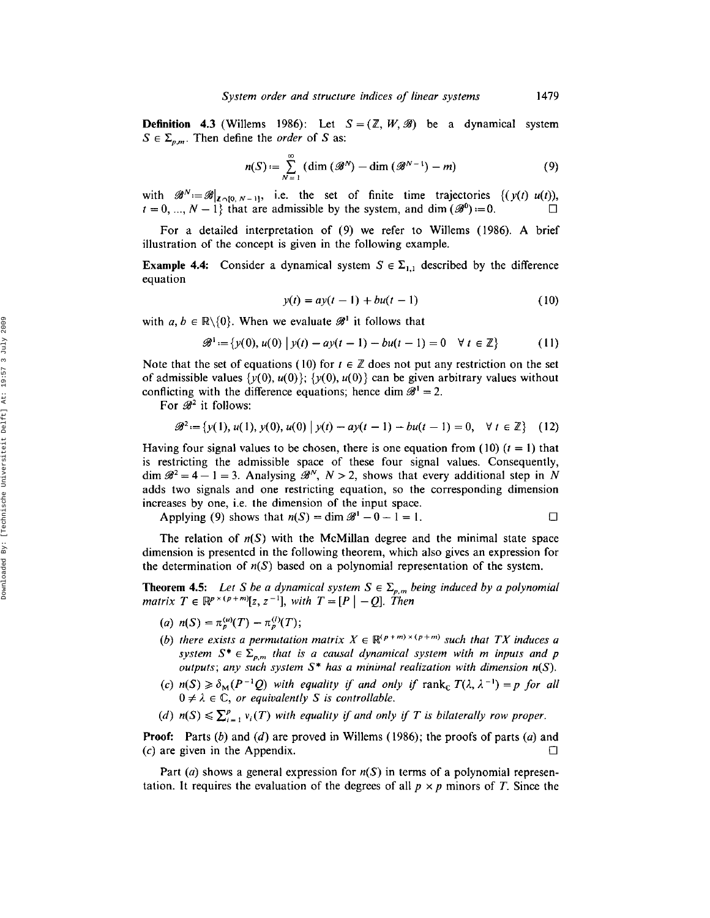**Definition 4.3** (Willems 1986): Let  $S = (\mathbb{Z}, W, \mathcal{B})$  be a dynamical system  $S \in \Sigma_{p,m}$ . Then define the *order* of S as:

$$
n(S) := \sum_{N=1}^{\infty} \left( \dim \left( \mathcal{B}^N \right) - \dim \left( \mathcal{B}^{N-1} \right) - m \right) \tag{9}
$$

with  $\mathscr{B}^N := \mathscr{B}|_{\mathbb{Z} \cap \{0, N-1\}},$  i.e. the set of finite time trajectories  $\{(y(t), u(t)),$  $t = 0, ..., N - 1$ } that are admissible by the system, and dim  $(\mathscr{B}^0) = 0$ .

For a detailed interpretation of (9) we refer to Willems (1986). A brief illustration of the concept is given in the following example.

**Example 4.4:** Consider a dynamical system  $S \in \Sigma_{1,1}$  described by the difference equation

$$
y(t) = ay(t-1) + bu(t-1)
$$
 (10)

with  $a, b \in \mathbb{R} \setminus \{0\}$ . When we evaluate  $\mathscr{B}^1$  it follows that

$$
\mathscr{B}^1 := \{ y(0), u(0) \mid y(t) - ay(t-1) - bu(t-1) = 0 \quad \forall \ t \in \mathbb{Z} \}
$$
 (11)

Note that the set of equations (10) for  $t \in \mathbb{Z}$  does not put any restriction on the set of admissible values  $\{y(0), u(0)\}$ ;  $\{y(0), u(0)\}$  can be given arbitrary values without conflicting with the difference equations; hence dim  $\mathscr{B}^1 = 2$ .

For  $\mathscr{B}^2$  it follows:

$$
\mathscr{B}^{2} := \{y(1), u(1), y(0), u(0) \mid y(t) - ay(t-1) - bu(t-1) = 0, \forall t \in \mathbb{Z}\} \quad (12)
$$

Having four signal values to be chosen, there is one equation from  $(10)$   $(t = 1)$  that is restricting the admissible space of these four signal values. Consequently, dim  $\mathscr{B}^2 = 4 - 1 = 3$ . Analysing  $\mathscr{B}^N$ ,  $N > 2$ , shows that every additional step in N adds two signals and one restricting equation, so the corresponding dimension increases by one, i.e. the dimension of the input space.

Applying (9) shows that  $n(S) = \dim \mathcal{B}^1 - 0 - 1 = 1$ .  $\Box$ 

The relation of  $n(S)$  with the McMillan degree and the minimal state space dimension is presented in the following theorem, which also gives an expression for the determination of  $n(S)$  based on a polynomial representation of the system.

**Theorem 4.5:** Let S be a dynamical system  $S \in \Sigma_{p,m}$  being induced by a polynomial *matrix*  $T \in \mathbb{R}^{p \times (p+m)}[z, z^{-1}]$ , with  $T = [P|-Q]$ . Then

- (a)  $n(S) = \pi_p^{(u)}(T) \pi_p^{(l)}(T);$
- *(b) there exists* a *permutation matrix*  $X \in \mathbb{R}^{(p+m)\times(p+m)}$  *such that*  $TX$  *induces* a system  $S^* \in \Sigma_{p,m}$  that is a causal dynamical system with m inputs and p *outputs; any such system* S· *has a minimal realization with dimension n(S).*
- (c)  $n(S) \ge \delta_M(P^{-1}Q)$  *with equality if and only if rank<sub>c</sub>*  $T(\lambda, \lambda^{-1}) = p$  *for all*  $0 \neq \lambda \in \mathbb{C}$ , *or equivalently S is controllable.*
- (d)  $n(S) \leq \sum_{i=1}^{p} v_i(T)$  *with equality if and only if T is bilaterally row proper.*

**Proof:** Parts (b) and (d) are proved in Willems (1986); the proofs of parts (a) and  $(c)$  are given in the Appendix.  $\mathsf{C}$ 

Part (a) shows a general expression for  $n(S)$  in terms of a polynomial representation. It requires the evaluation of the degrees of all  $p \times p$  minors of *T*. Since the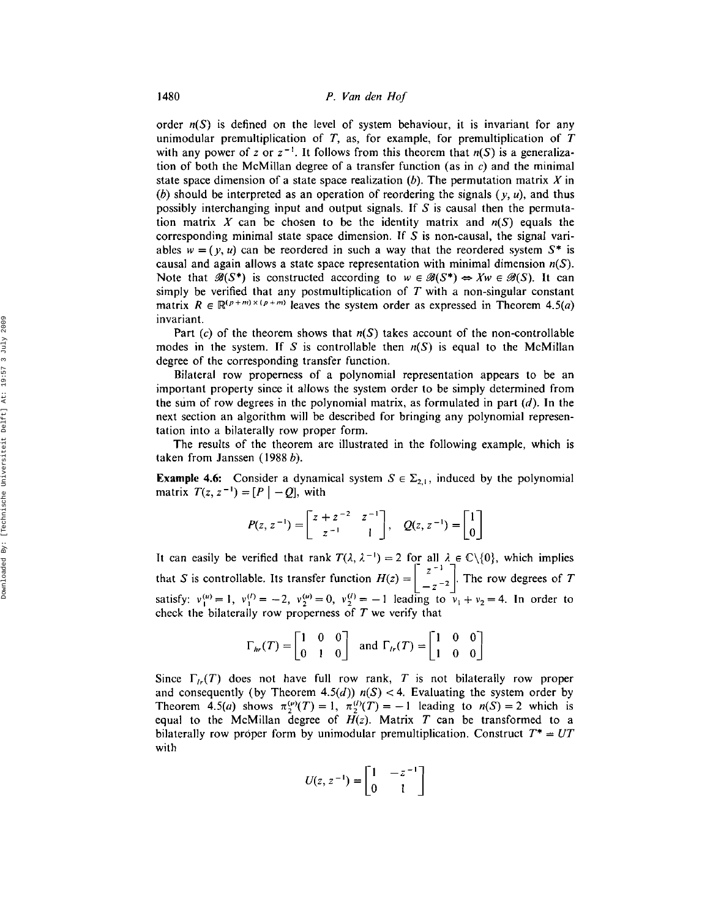order  $n(S)$  is defined on the level of system behaviour, it is invariant for any unimodular premultiplication of  $T$ , as, for example, for premultiplication of  $T$ with any power of z or  $z^{-1}$ . It follows from this theorem that  $n(S)$  is a generalization of both the McMillan degree of a transfer function (as in  $c$ ) and the minimal state space dimension of a state space realization  $(b)$ . The permutation matrix X in (b) should be interpreted as an operation of reordering the signals  $(y, u)$ , and thus possibly interchanging input and output signals. If S is causal then the permutation matrix X can be chosen to be the identity matrix and  $n(S)$  equals the corresponding minimal state space dimension. If S is non-causal, the signal variables  $w = (y, u)$  can be reordered in such a way that the reordered system  $S^*$  is causal and again allows a state space representation with minimal dimension  $n(S)$ . Note that  $\mathscr{B}(S^*)$  is constructed according to  $w \in \mathscr{B}(S^*) \Leftrightarrow Xw \in \mathscr{B}(S)$ . It can simply be verified that any postmultiplication of T with a non-singular constant matrix  $R \in \mathbb{R}^{(p+m)\times(p+m)}$  leaves the system order as expressed in Theorem 4.5(*a*) invariant.

Part (c) of the theorem shows that  $n(S)$  takes account of the non-controllable modes in the system. If S is controllable then  $n(S)$  is equal to the McMillan degree of the corresponding transfer function.

Bilateral row properness of a polynomial representation appears to be an important property since it allows the system order to be simply determined from the sum of row degrees in the polynomial matrix, as formulated in part  $(d)$ . In the next section an algorithm will be described for bringing any polynomial representation into a bilaterally row proper form.

The results of the theorem are illustrated in the following example, which is taken from Janssen (1988 b).

**Example 4.6:** Consider a dynamical system  $S \in \Sigma_{2,1}$ , induced by the polynomial matrix  $T(z, z^{-1}) = [P | -Q]$ , with

$$
P(z, z^{-1}) = \begin{bmatrix} z + z^{-2} & z^{-1} \\ z^{-1} & 1 \end{bmatrix}, \quad Q(z, z^{-1}) = \begin{bmatrix} 1 \\ 0 \end{bmatrix}
$$

It can easily be verified that rank  $T(\lambda, \lambda^{-1}) = 2$  for all  $\lambda \in \mathbb{C} \setminus \{0\}$ , which implies that S is controllable. Its transfer function  $H(z) = \begin{bmatrix} 1 & 1 \\ 1 & -2 \end{bmatrix}$ . The row degrees of 7 satisfy:  $v_1^{(u)} = 1$ ,  $v_1^{(l)} = -2$ ,  $v_2^{(u)} = 0$ ,  $v_2^{(l)} = -1$  leading to  $v_1 + v_2 = 4$ . In order to check the bilaterally row properness of  $T$  we verify that

$$
\Gamma_{hr}(T) = \begin{bmatrix} 1 & 0 & 0 \\ 0 & 1 & 0 \end{bmatrix} \text{ and } \Gamma_{lr}(T) = \begin{bmatrix} 1 & 0 & 0 \\ 1 & 0 & 0 \end{bmatrix}
$$

Since  $\Gamma_{lr}(T)$  does not have full row rank, T is not bilaterally row proper and consequently (by Theorem 4.5(d))  $n(S) < 4$ . Evaluating the system order by Theorem 4.5(a) shows  $\pi_2^{(u)}(T) = 1$ ,  $\pi_2^{(u)}(T) = -1$  leading to  $n(S) = 2$  which is equal to the McMillan degree of  $H(z)$ . Matrix  $T$  can be transformed to a bilaterally row proper form by unimodular premultiplication. Construct  $T^* = UT$ with

$$
U(z, z^{-1}) = \begin{bmatrix} 1 & -z^{-1} \\ 0 & 1 \end{bmatrix}
$$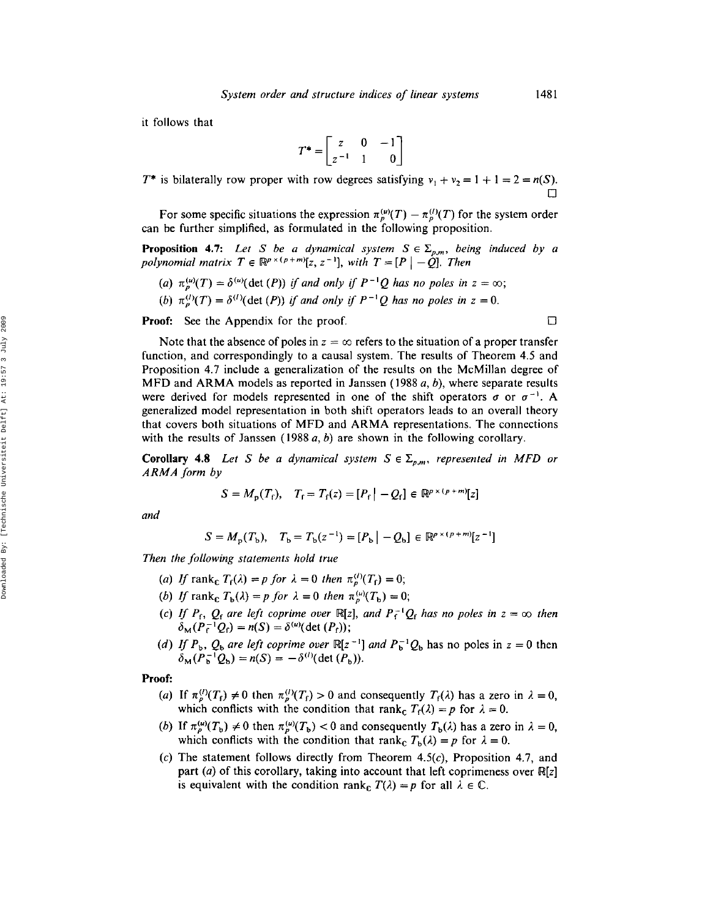it follows that

$$
T^* = \begin{bmatrix} z & 0 & -1 \\ z^{-1} & 1 & 0 \end{bmatrix}
$$

*T*<sup>\*</sup> is bilaterally row proper with row degrees satisfying  $v_1 + v_2 = 1 + 1 = 2 = n(S)$ .

For some specific situations the expression  $\pi_p^{(\mu)}(T) - \pi_p^{(\prime)}(T)$  for the system order can be further simplified, as formulated in the following proposition.

**Proposition 4.7:** Let S be a dynamical system  $S \in \Sigma_{p,m}$ , being induced by a *polynomial matrix*  $T \in \mathbb{R}^{p \times (p+m)}[z, z^{-1}]$ , with  $T = [P \mid -Q]$ . Then

- (*a*)  $\pi_n^{(u)}(T) = \delta^{(u)}(\det(P))$  *if and only if*  $P^{-1}Q$  *has no poles in*  $z = \infty$ ;
- *(b)*  $\pi_p^{(1)}(T) = \delta^{(1)}(\det(P))$  if and only if  $P^{-1}Q$  has no poles in  $z = 0$ .

Proof: See the Appendix for the proof.

Note that the absence of poles in  $z = \infty$  refers to the situation of a proper transfer function, and correspondingly to a causal system. The results of Theorem 4.5 and Proposition 4.7 include a generalization of the results on the McMillan degree of MFD and ARMA models as reported in Janssen (1988 *a,* b), where separate results were derived for models represented in one of the shift operators  $\sigma$  or  $\sigma^{-1}$ . A generalized model representation in both shift operators leads to an overall theory that covers both situations of MFD and ARMA representations. The connections with the results of Janssen (1988 *a,* b) are shown in the following corollary.

**Corollary 4.8** Let S be a dynamical system  $S \in \Sigma_{p,m}$ , represented in MFD or *ARMA form by*

$$
S = M_{p}(T_{f}), \quad T_{f} = T_{f}(z) = [P_{f} | -Q_{f}] \in \mathbb{R}^{p \times (p+m)}[z]
$$

*and*

$$
S = M_{\rm p}(T_{\rm b}), \quad T_{\rm b} = T_{\rm b}(z^{-1}) = [P_{\rm b} | -Q_{\rm b}] \in \mathbb{R}^{p \times (p+m)}[z^{-1}]
$$

*Then the following statements hold true*

- (a) If rank<sub>c</sub>  $T_f(\lambda) = p$  for  $\lambda = 0$  then  $\pi_p^{(l)}(T_f) = 0$ ;
- (b) If rank<sub>c</sub>  $T_b(\lambda) = p$  for  $\lambda = 0$  then  $\pi_p^{(\mu)}(T_b) = 0;$
- (c) If  $P_f$ ,  $Q_f$  are left coprime over  $\mathbb{R}[z]$ , and  $P_f^{-1}Q_f$  has no poles in  $z = \infty$  then  $\delta_{\mathbf{M}}(P_{\mathbf{f}}^{-1}Q_{\mathbf{f}}) = n(S) = \delta^{(u)}(\det(P_{\mathbf{f}}));$
- (*d*) If  $P_b$ ,  $Q_b$  *are left coprime over*  $\mathbb{R}[z^{-1}]$  *and*  $P_b^{-1}Q_b$  has no poles in  $z = 0$  then  $\delta_{\mathbf{M}}(P_{\mathbf{b}}^{-1}Q_{\mathbf{b}}) = n(S) = -\delta^{(1)}(\det(P_{\mathbf{b}})).$

#### Proof:

- (a) If  $\pi_p^{(1)}(T_f) \neq 0$  then  $\pi_p^{(1)}(T_f) > 0$  and consequently  $T_f(\lambda)$  has a zero in  $\lambda = 0$ , which conflicts with the condition that rank<sub>c</sub>  $T_f(\lambda) = p$  for  $\lambda = 0$ .
- (b) If  $\pi_p^{(\mu)}(T_b) \neq 0$  then  $\pi_p^{(\mu)}(T_b) < 0$  and consequently  $T_b(\lambda)$  has a zero in  $\lambda = 0$ , which conflicts with the condition that rank<sub>c</sub>  $T_b(\lambda) = p$  for  $\lambda = 0$ .
- $(c)$  The statement follows directly from Theorem 4.5 $(c)$ , Proposition 4.7, and part (a) of this corollary, taking into account that left coprimeness over  $\mathbb{R}[z]$ is equivalent with the condition rank<sub>c</sub>  $T(\lambda) = p$  for all  $\lambda \in \mathbb{C}$ .

 $\Box$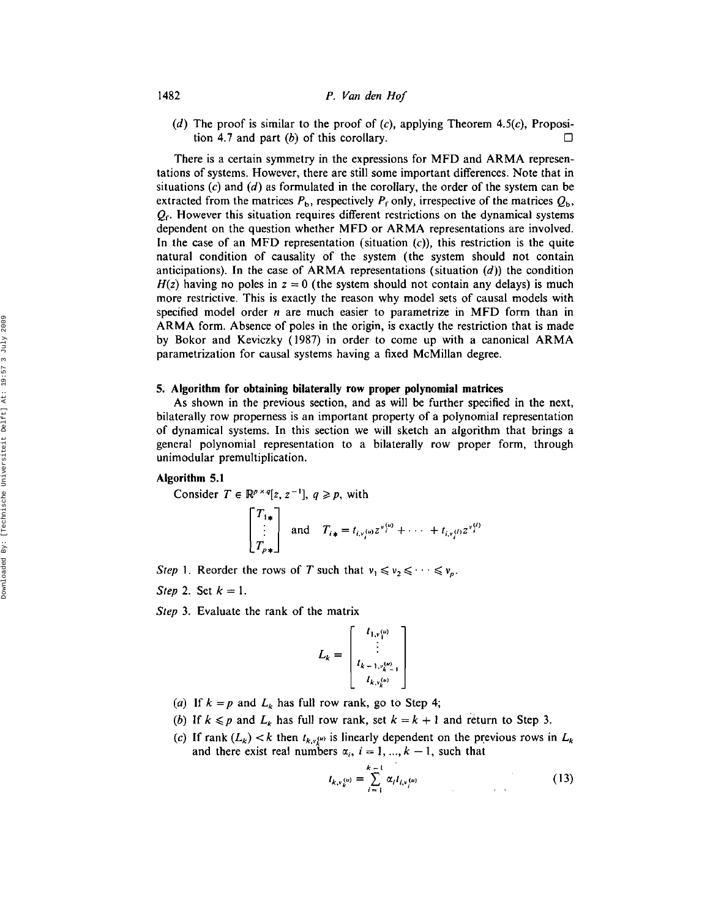(d) The proof is similar to the proof of  $(c)$ , applying Theorem 4.5 $(c)$ , Proposition 4.7 and part  $(b)$  of this corollary.

There is a certain symmetry in the expressions for MFD and ARMA representations of systems. However, there are still some important differences. Note that in situations  $(c)$  and  $(d)$  as formulated in the corollary, the order of the system can be extracted from the matrices  $P_b$ , respectively  $P_f$  only, irrespective of the matrices  $Q_b$ ,  $Q_f$ . However this situation requires different restrictions on the dynamical systems dependent on the question whether MFD or ARMA representations are involved. In the case of an MFD representation (situation  $(c)$ ), this restriction is the quite natural condition of causality of the system (the system should not contain anticipations). In the case of ARMA representations (situation  $(d)$ ) the condition  $H(z)$  having no poles in  $z = 0$  (the system should not contain any delays) is much more restrictive. This is exactly the reason why model sets of causal models with specified model order *n* are much easier to parametrize in MFD form than in ARMA form. Absence of poles in the origin, is exactly the restriction that is made by Bokor and Keviczky (1987) in order to come up with a canonical ARM A parametrization for causal systems having a fixed McMillan degree.

#### 5. Algorithm for obtaining bilaterally row proper polynomial matrices

As shown in the previous section, and as will be further specified in the next, bilaterally row properness is an important property of a polynomial representation of dynamical systems. In this section we will sketch an algorithm that brings a general polynomial representation to a bilaterally row proper form, through unimodular premultiplication.

# Algorithm 5.1

Consider  $T \in \mathbb{R}^{p \times q}[z, z^{-1}], q \geq p$ , with

$$
\begin{bmatrix} T_{1*} \\ \vdots \\ T_{p*} \end{bmatrix} \text{ and } T_{i*} = t_{i*j} \omega z^{r(i)} + \cdots + t_{i*j} \omega z^{r(i)}
$$

*Step* 1. Reorder the rows of *T* such that  $v_1 \le v_2 \le \cdots \le v_p$ .

*Step* 2. Set  $k = 1$ .

*Step* 3. Evaluate the rank of the matrix

$$
L_k = \begin{bmatrix} t_{1,v_1^{(u)}} \\ \vdots \\ t_{k-1,v_{k-1}^{(u)}} \\ t_{k,v_k^{(u)}} \end{bmatrix}
$$

- (a) If  $k = p$  and  $L_k$  has full row rank, go to Step 4;
- *(b)* If  $k \leq p$  and  $L_k$  has full row rank, set  $k = k + 1$  and return to Step 3.
- (c) If rank  $(L_k) < k$  then  $t_{k,\nu_k}$  is linearly dependent on the previous rows in  $L_k$ and there exist real numbers  $\alpha_i$ ,  $i = 1, ..., k - 1$ , such that

$$
t_{k,v_k^{(u)}} = \sum_{i=1}^{k-1} \alpha_i t_{i,v_i^{(u)}} \tag{13}
$$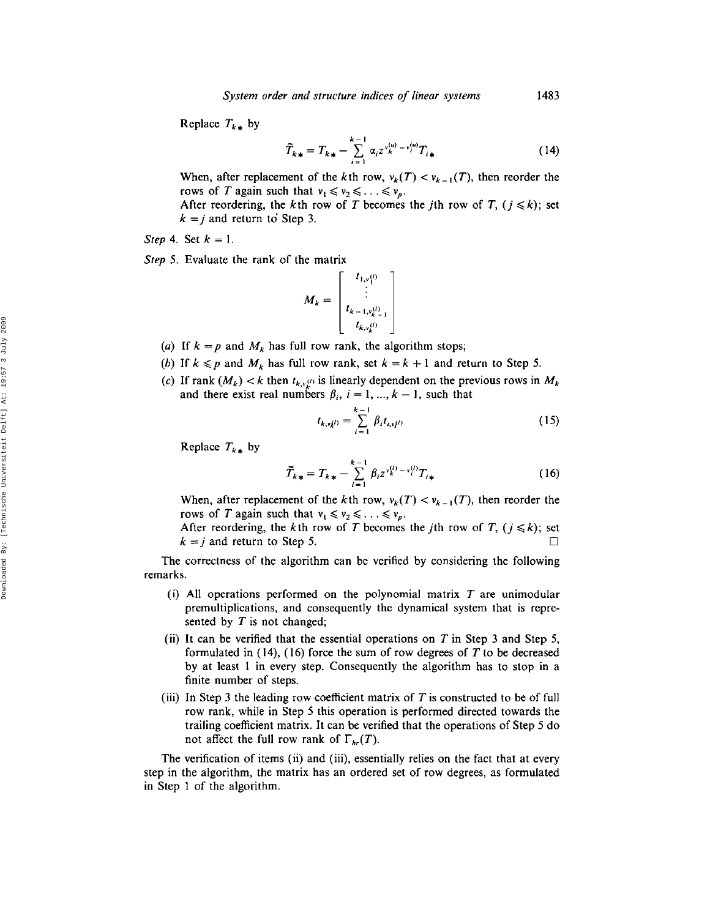Replace  $T_{k*}$  by

$$
\widetilde{T}_{k\,*} = T_{k\,*} - \sum_{i=1}^{k-1} \alpha_i z^{\nu_k^{(u)} - \nu_i^{(u)}} T_{i\,*}
$$
\n(14)

When, after replacement of the *k*th row,  $v_k(T) < v_{k-1}(T)$ , then reorder the rows of T again such that  $v_1 \le v_2 \le \ldots \le v_p$ .

After reordering, the *k*th row of *T* becomes the *j*th row of *T*,  $(j \le k)$ ; set  $k = j$  and return to Step 3.

*Step* 4. Set  $k = 1$ .

*Step* 5. Evaluate the rank of the matrix

$$
M_{k} = \begin{bmatrix} t_{1,\nu_{1}^{(l)}} \\ \vdots \\ t_{k-1,\nu_{k-1}^{(l)}} \\ t_{k,\nu_{k}^{(l)}} \end{bmatrix}
$$

- (a) If  $k = p$  and  $M_k$  has full row rank, the algorithm stops;
- *(b)* If  $k \leq p$  and  $M_k$  has full row rank, set  $k = k + 1$  and return to Step 5.
- (c) If rank  $(M_k) < k$  then  $t_{k,\nu}$ <sup>o</sup> is linearly dependent on the previous rows in  $M_k$ and there exist real numbers  $\beta_i$ ,  $i = 1, ..., k - 1$ , such that

$$
t_{k,vk} = \sum_{i=1}^{k-1} \beta_i t_{i,vk} \tag{15}
$$

Replace  $T_{k*}$  by

$$
\widetilde{T}_{k*} = T_{k*} - \sum_{i=1}^{k-1} \beta_i z^{v_k^{(i)} - v_i^{(i)}} T_{i*}
$$
\n(16)

When, after replacement of the *k*th row,  $v_k(T) < v_{k-1}(T)$ , then reorder the rows of T again such that  $v_1 \le v_2 \le \ldots \le v_p$ .

After reordering, the *k*th row of *T* becomes the *j*th row of *T*,  $(j \le k)$ ; set  $k = j$  and return to Step 5.  $\Box$ 

The correctness of the algorithm can be verified by considering the following remarks.

- (i) All operations performed on the polynomial matrix  $T$  are unimodular premultiplications, and consequently the dynamical system that is represented by  $T$  is not changed;
- (ii) It can be verified that the essential operations on  $T$  in Step 3 and Step 5, formulated in  $(14)$ ,  $(16)$  force the sum of row degrees of T to be decreased by at least 1 in every step. Consequently the algorithm has to stop in a finite number of steps.
- (iii) In Step 3 the leading row coefficient matrix of  $T$  is constructed to be of full row rank, while in Step 5 this operation is performed directed towards the trailing coefficient matrix. It can be verified that the operations of Step 5 do not affect the full row rank of  $\Gamma_{hr}(T)$ .

The verification of items (ii) and (iii), essentially relies on the fact that at every step in the algorithm, the matrix has an ordered set of row degrees, as formulated in Step 1 of the algorithm.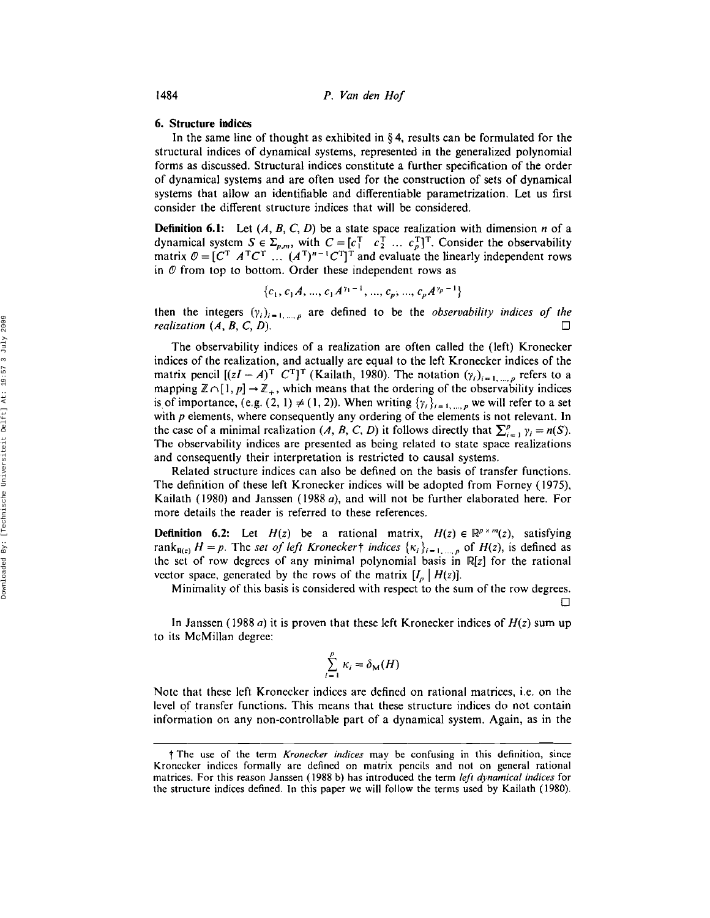## 6. Structure indices

In the same line of thought as exhibited in § 4, results can be formulated for the structural indices of dynamical systems, represented in the generalized polynomial forms as discussed. Structural indices constitute a further specification of the order of dynamical systems and are often used for the construction of sets of dynamical systems that allow an identifiable and differentiable parametrization. Let us first consider the different structure indices that will be considered.

**Definition 6.1:** Let  $(A, B, C, D)$  be a state space realization with dimension *n* of a dynamical system  $S \in \Sigma_{p,m}$ , with  $C = [c_1^T \ c_2^T \ ... \ c_p^T]^T$ . Consider the observability matrix  $\mathcal{O} = [C^T \ A^T C^T \ ... (A^T)^{n-1} C^T]^T$  and evaluate the linearly independent rows in  $\varnothing$  from top to bottom. Order these independent rows as

$$
\{c_1, c_1A, ..., c_1A^{\gamma_1-1}, ..., c_p, ..., c_pA^{\gamma_p-1}\}
$$

then the integers  $(\gamma_i)_{i=1,\dots,p}$  are defined to be the *observability indices of the*  $realization$   $(A, B, C, D)$ .  $\Box$ 

The observability indices of a realization are often called the (left) Kronecker indices of the realization, and actually are equal to the left Kronecker indices of the matrix pencil  $[(zI - A)^T C^T]^T$  (Kailath, 1980). The notation  $(\gamma_i)_{i=1,\dots,p}$  refers to a mapping  $\mathbb{Z} \cap [1, p] \to \mathbb{Z}_+$ , which means that the ordering of the observability indices is of importance, (e.g. (2, 1)  $\neq$  (1, 2)). When writing  $\{\gamma_i\}_{i=1,\dots,p}$  we will refer to a set with  $p$  elements, where consequently any ordering of the elements is not relevant. In the case of a minimal realization (A, B, C, D) it follows directly that  $\sum_{i=1}^{p} \gamma_i = n(S)$ . The observability indices are presented as being related to state space realizations and consequently their interpretation is restricted to causal systems.

Related structure indices can also be defined on the basis of transfer functions. The definition of these left Kronecker indices will be adopted from Forney (1975), Kailath (1980) and Janssen (1988 a), and will not be further elaborated here. For more details the reader is referred to these references.

**Definition 6.2:** Let  $H(z)$  be a rational matrix,  $H(z) \in \mathbb{R}^{p \times m}(z)$ , satisfying rank<sub>R(z)</sub>  $H = p$ . The *set of left Kronecker*  $\{\kappa_i\}_{i=1,\dots,p}$  of  $H(z)$ , is defined as the set of row degrees of any minimal polynomial basis in  $\mathbb{R}[z]$  for the rational vector space, generated by the rows of the matrix  $[I_p | H(z)]$ .

Minimality of this basis is considered with respect to the sum of the row degrees.

In Janssen (1988 a) it is proven that these left Kronecker indices of *H(z)* sum up to its McMillan degree:

$$
\sum_{i=1}^p \kappa_i = \delta_{\mathbf{M}}(H)
$$

Note that these left Kronecker indices are defined on rational matrices, i.e. on the level of transfer functions. This means that these structure indices do not contain information on any non-controllable part of a dynamical system. Again, as in the

t The use of the term *Kronecker indices* may be confusing in this definition, since Kronecker indices formally are defined on matrix pencils and not on general rational matrices. For this reason Janssen (1988 b) has introduced the term *left dynamical indices* for the structure indices defined. In this paper we will follow the terms used by Kailath (1980).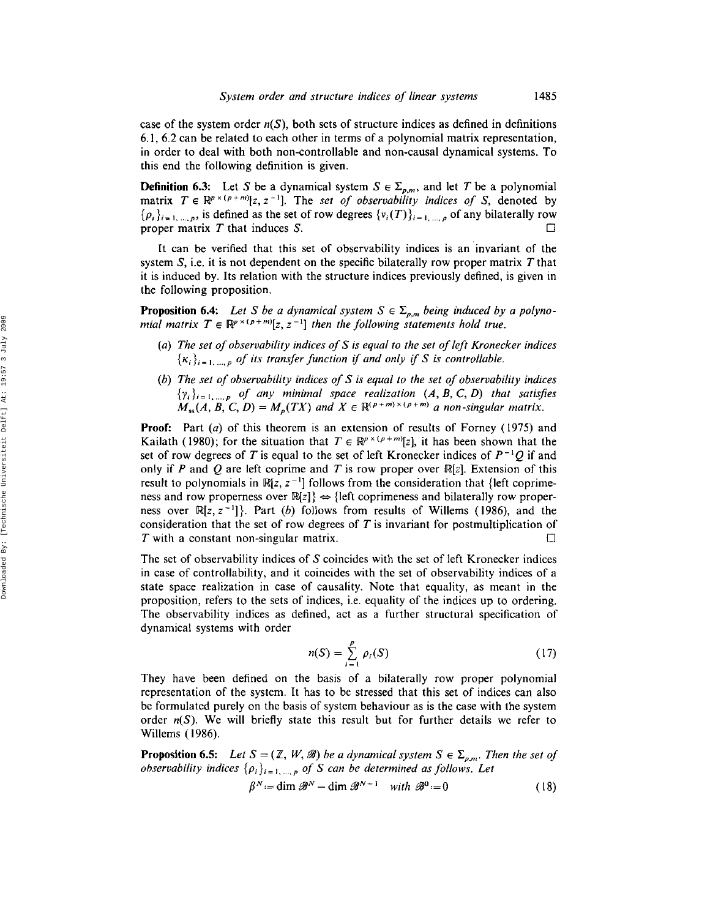case of the system order  $n(S)$ , both sets of structure indices as defined in definitions 6.1, 6.2 can be related to each other in terms of a polynomial matrix representation, in order to deal with both non-controllable and non-causal dynamical systems. To this end the following definition is given.

**Definition 6.3:** Let S be a dynamical system  $S \in \Sigma_{p,m}$ , and let T be a polynomial matrix  $T \in \mathbb{R}^{p \times (p+m)}[z, z^{-1}]$ . The *set of observability indices of* S, denoted by  $\{\rho_i\}_{i=1,\dots,p}$ , is defined as the set of row degrees  $\{v_i(T)\}_{i=1,\dots,p}$  of any bilaterally row proper matrix T that induces S.  $\Box$ 

It can be verified that this set of observability indices is an invariant of the system  $S$ , i.e. it is not dependent on the specific bilaterally row proper matrix  $T$  that it is induced by. Its relation with the structure indices previously defined, is given in the following proposition.

**Proposition 6.4:** Let S be a dynamical system  $S \in \Sigma_{p,m}$  being induced by a polyno*mial* matrix  $T \in \mathbb{R}^{p \times (p+m)}[z, z^{-1}]$  then the following statements hold true.

- *(a) The set ofobservability indices of*S *is equal* to *the set ofleft Kronecker indices*  $\{K_i\}_{i=1,\dots,p}$  *of its transfer function if and only if S is controllable.*
- *(b) The set of observability indices of* S *is equal* to *the set of observability indices {Yi},=* 1, *.. .,p of any minimal space realization (A,* B, C, D) *that satisfies*  $M_{ss}(A, B, C, D) = M_p(TX)$  and  $X \in \mathbb{R}^{(p+m)\times(p+m)}$  a non-singular matrix.

Proof: Part (a) of this theorem is an extension of results of Forney (1975) and Kailath (1980); for the situation that  $T \in \mathbb{R}^{p \times (p+m)}[z]$ , it has been shown that the set of row degrees of *T* is equal to the set of left Kronecker indices of *P* -1 Q if and only if P and Q are left coprime and T is row proper over  $\mathbb{R}[z]$ . Extension of this result to polynomials in  $\mathbb{R}[z, z^{-1}]$  follows from the consideration that {left coprimeness and row properness over  $\mathbb{R}[z]$   $\Leftrightarrow$  {left coprimeness and bilaterally row properness over  $\mathbb{R}[z, z^{-1}]$ . Part (b) follows from results of Willems (1986), and the consideration that the set of row degrees of  $T$  is invariant for postmultiplication of T with a constant non-singular matrix.  $\Box$ 

The set of observability indices of S coincides with the set of left Kronecker indices in case of controllability, and it coincides with the set of observability indices of a state space realization in case of causality. Note that equality, as meant in the proposition, refers to the sets of indices, i.e. equality of the indices up to ordering. The observability indices as defined, act as a further structural specification of dynamical systems with order

$$
n(S) = \sum_{i=1}^{p} \rho_i(S) \tag{17}
$$

They have been defined on the basis of a bilaterally row proper polynomial representation of the system. It has to be stressed that this set of indices can also be formulated purely on the basis of system behaviour as is the case with the system order  $n(S)$ . We will briefly state this result but for further details we refer to Willems (1986).

**Proposition 6.5:** Let  $S = (\mathbb{Z}, W, \mathcal{B})$  be a *dynamical system*  $S \in \Sigma_{p,m}$ . Then the set of *observability indices*  $\{\rho_i\}_{i=1,...,p}$  *of S can be determined as follows. Let* 

$$
\beta^N := \dim \mathcal{B}^N - \dim \mathcal{B}^{N-1} \quad \text{with } \mathcal{B}^0 := 0 \tag{18}
$$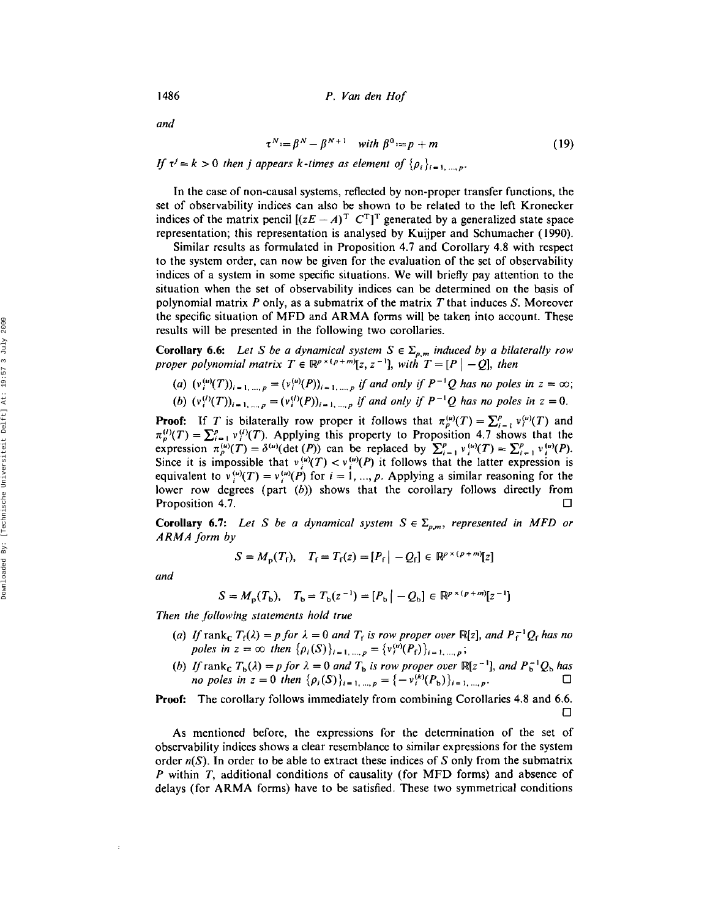*and*

$$
\tau^N := \beta^N - \beta^{N+1} \quad \text{with } \beta^0 := p + m \tag{19}
$$

If  $\tau^{j} = k > 0$  then *j* appears *k*-times as element of  $\{\rho_{i}\}_{i=1,\dots,p}$ .

In the case of non-causal systems, reflected by non-proper transfer functions, the set of observability indices can also be shown to be related to the left Kronecker indices of the matrix pencil  $[(zE - A)^T C^T]^T$  generated by a generalized state space representation; this representation is analysed by Kuijper and Schumacher (1990).

Similar results as formulated in Proposition 4.7 and Corollary 4.8 with respect to the system order, can now be given for the evaluation of the set of observability indices of a system in some specific situations. We will briefly pay attention to the situation when the set of observability indices can be determined on the basis of polynomial matrix *P* only, as a submatrix of the matrix *T* that induces S. Moreover the specific situation of MFD and ARMA forms will be taken into account. These results will be presented in the following two corollaries.

**Corollary 6.6:** Let S be a dynamical system  $S \in \Sigma_{p,m}$  induced by a bilaterally row *proper* polynomial matrix  $T \in \mathbb{R}^{p \times (p+m)}[z, z^{-1}]$ , with  $T = [P \mid -Q]$ , then

- $(u)$   $(v_i^{(u)}(T))_{i=1,...,p} = (v_i^{(u)}(P))_{i=1,...,p}$  *if and only if*  $P^{-1}Q$  *has no poles in*  $z = \infty$ ;
- *(b)*  $(v_i^{(l)}(T))_{i=1,...,p} = (v_i^{(l)}(P))_{i=1,...,p}$  *if and only if*  $P^{-1}Q$  *has no poles in*  $z = 0$ .

**Proof:** If T is bilaterally row proper it follows that  $\pi_p^{(u)}(T) = \sum_{i=1}^p v_i^{(u)}(T)$  and  $\pi_p^{(1)}(T) = \sum_{i=1}^p v_i^{(1)}(T)$ . Applying this property to Proposition 4.7 shows that the expression  $\pi_p^{(u)}(T) = \delta^{(u)}(\det(P))$  can be replaced by  $\sum_{i=1}^p v_i^{(u)}(T) = \sum_{i=1}^p v_i^{(u)}(P)$ . Since it is impossible that  $v_i^{(u)}(T) < v_i^{(u)}(P)$  it follows that the latter expression is equivalent to  $v_i^{(\mu)}(T) = v_i^{(\mu)}(P)$  for  $i = 1, ..., p$ . Applying a similar reasoning for the lower row degrees (part (b)) shows that the corollary follows directly from Proposition 4.7.  $\Box$ 

**Corollary 6.7:** Let S be a dynamical system  $S \in \Sigma_{p,m}$ , represented in MFD or *ARMAform by*

$$
S = M_{p}(T_{f}), \quad T_{f} = T_{f}(z) = [P_{f} | -Q_{f}] \in \mathbb{R}^{p \times (p+m)}[z]
$$

*and*

$$
S = M_{\rm p}(T_{\rm b}), \quad T_{\rm b} = T_{\rm b}(z^{-1}) = [P_{\rm b} \, | \, -Q_{\rm b}] \in \mathbb{R}^{p \times (p+m)}[z^{-1}]
$$

*Then the following statements hold true*

- (*a*) If  $\text{rank}_{\mathbb{C}} T_f(\lambda) = p$  for  $\lambda = 0$  *and*  $T_f$  *is row proper over*  $\mathbb{R}[z]$ , *and*  $P_f^{-1}Q_f$  *has no poles* in  $z = \infty$  then  $\{\rho_i(S)\}_{i=1,\dots,p} = \{v_i^{(u)}(P_f)\}_{i=1,\dots,p}$ ;
- (b) If rank<sub>c</sub>  $T_b(\lambda) = p$  for  $\lambda = 0$  and  $T_b$  is row proper over  $\mathbb{R}[z^{-1}]$ , and  $P_b^{-1}Q_b$  has *no* poles in  $z = 0$  then  $\{\rho_i(S)\}_{i=1,...,p} = \{-v_i^{(k)}(P_b)\}_{i=1,...,p}$ .  $\Box$

**Proof:** The corollary follows immediately from combining Corollaries 4.8 and 6.6.  $\Box$ 

As mentioned before, the expressions for the determination of the set of observability indices shows a clear resemblance to similar expressions for the system order  $n(S)$ . In order to be able to extract these indices of S only from the submatrix P within T, additional conditions of causality (for MFD forms) and absence of delays (for ARMA forms) have to be satisfied. These two symmetrical conditions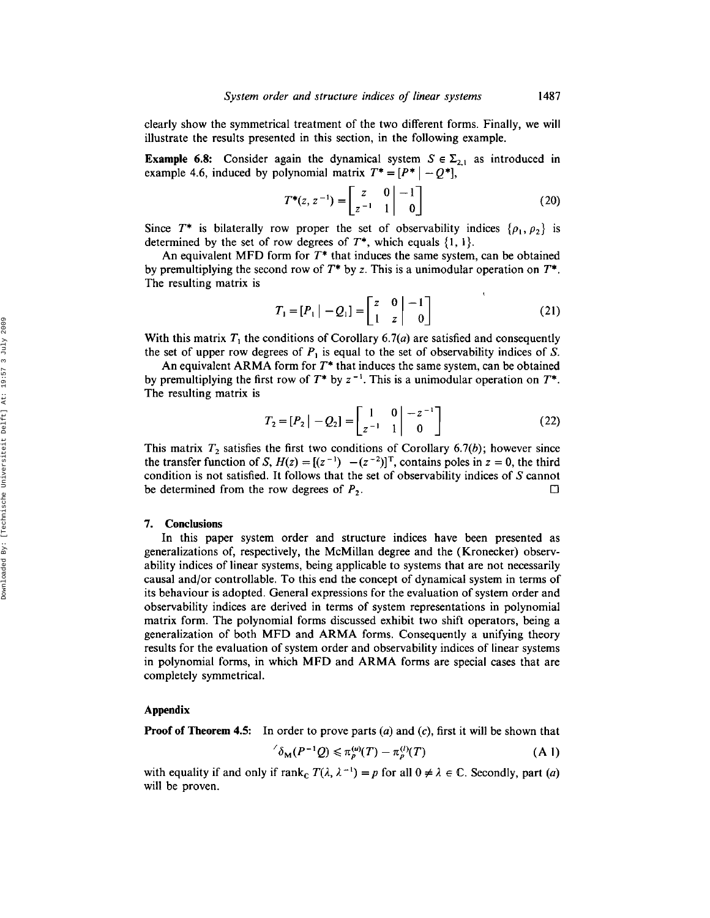clearly show the symmetrical treatment of the two different forms. Finally, we will illustrate the results presented in this section, in the following example.

**Example 6.8:** Consider again the dynamical system  $S \in \Sigma_{2,1}$  as introduced in example 4.6, induced by polynomial matrix  $T^* = [P^* | -Q^*]$ ,

$$
T^*(z, z^{-1}) = \begin{bmatrix} z & 0 & -1 \\ z^{-1} & 1 & 0 \end{bmatrix} \tag{20}
$$

Since  $T^*$  is bilaterally row proper the set of observability indices  $\{\rho_1, \rho_2\}$  is determined by the set of row degrees of  $T^*$ , which equals  $\{1, 1\}$ .

An equivalent MFD form for *T\** that induces the same system, can be obtained by premultiplying the second row of *T\** by z. This is a unimodular operation on *T\*.* The resulting matrix is

$$
T_1 = [P_1 | -Q_1] = \begin{bmatrix} z & 0 & -1 \\ 1 & z & 0 \end{bmatrix}
$$
 (21)

With this matrix  $T_1$  the conditions of Corollary 6.7(*a*) are satisfied and consequently the set of upper row degrees of  $P_1$  is equal to the set of observability indices of S.

An equivalent ARMA form for *T\** that induces the same system, can be obtained by premultiplying the first row of  $T^*$  by  $z^{-1}$ . This is a unimodular operation on  $T^*$ . The resulting matrix is

$$
T_2 = [P_2 | -Q_2] = \begin{bmatrix} 1 & 0 \\ z^{-1} & 1 \end{bmatrix} \begin{bmatrix} -z^{-1} \\ 0 \end{bmatrix}
$$
 (22)

This matrix  $T_2$  satisfies the first two conditions of Corollary 6.7(b); however since the transfer function of S,  $H(z) = [(z^{-1}) - (z^{-2})]^T$ , contains poles in  $z = 0$ , the third condition is not satisfied. It follows that the set of observability indices of S cannot be determined from the row degrees of *P 2 •*  $\Box$ 

## 7. Conclusions

In this paper system order and structure indices have been presented as generalizations of, respectively, the McMillan degree and the (Kronecker) observability indices of linear systems, being applicable to systems that are not necessarily causal and/or controllable. To this end the concept of dynamical system in terms of its behaviour is adopted. General expressions for the evaluation of system order and observability indices are derived in terms of system representations in polynomial matrix form. The polynomial forms discussed exhibit two shift operators, being a generalization of both MFD and ARMA forms. Consequently a unifying theory results for the evaluation of system order and observability indices of linear systems in polynomial forms, in which MFD and ARMA forms are special cases that are completely symmetrical.

#### Appendix

**Proof of Theorem 4.5:** In order to prove parts (a) and (c), first it will be shown that

$$
\delta_{\mathbf{M}}(P^{-1}Q) \leqslant \pi_p^{(u)}(T) - \pi_p^{(l)}(T) \tag{A-1}
$$

with equality if and only if  $rank_{\mathbb{C}} T(\lambda, \lambda^{-1}) = p$  for all  $0 \neq \lambda \in \mathbb{C}$ . Secondly, part (a) will be proven.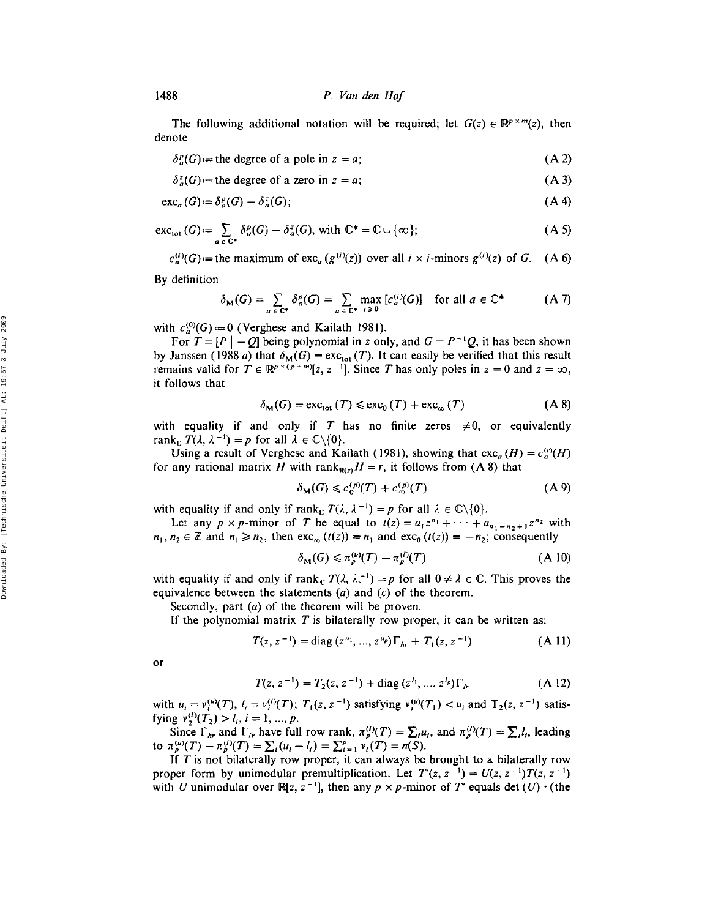The following additional notation will be required; let  $G(z) \in \mathbb{R}^{p \times m}(z)$ , then denote

 $\delta_a^p(G)$  = the degree of a pole in z  $= a;$  (A 2)

 $\delta_a^z(G)$  = the degree of a zero in z = *a;* (A 3)

$$
\operatorname{exc}_a(G) := \delta_a^p(G) - \delta_a^z(G); \tag{A 4}
$$

$$
\operatorname{exc}_{\text{tot}}\left(G\right) := \sum_{a \in \mathbb{C}^*} \delta_a^p(G) - \delta_a^z(G), \text{ with } \mathbb{C}^* = \mathbb{C} \cup \{\infty\};\tag{A 5}
$$

 $c_a^{(i)}(G)$ :=the maximum of exc<sub>a</sub>  $(g^{(i)}(z))$  over all  $i \times i$ -minors  $g^{(i)}(z)$  of G. (A 6)

By definition

$$
\delta_{\mathbf{M}}(G) = \sum_{a \in \mathbb{C}^*} \delta_a^p(G) = \sum_{a \in \mathbb{C}^*} \max_{i \ge 0} [c_a^{(i)}(G)] \text{ for all } a \in \mathbb{C}^* \tag{A 7}
$$

with  $c_a^{(0)}(G) = 0$  (Verghese and Kailath 1981).

For  $T = [P | -Q]$  being polynomial in z only, and  $G = P^{-1}Q$ , it has been shown by Janssen (1988 a) that  $\delta_M(G) = \text{exc}_{\text{tot}}(T)$ . It can easily be verified that this result remains valid for  $T \in \mathbb{R}^{p \times (p+m)}[z, z^{-1}]$ . Since T has only poles in  $z = 0$  and  $z = \infty$ , it follows that

$$
\delta_{\mathbf{M}}(G) = \text{exc}_{\text{tot}}(T) \leq \text{exc}_{0}(T) + \text{exc}_{\infty}(T) \tag{A 8}
$$

with equality if and only if T has no finite zeros  $\neq 0$ , or equivalently rank<sub>c</sub>  $T(\lambda, \lambda^{-1}) = p$  for all  $\lambda \in \mathbb{C} \backslash \{0\}.$ 

Using a result of Verghese and Kailath (1981), showing that  $\operatorname{exc}_a(H) = c_a^{(r)}(H)$ for any rational matrix H with rank<sub>R(z)</sub> $H = r$ , it follows from (A 8) that

$$
\delta_{\mathbf{M}}(G) \leq c_0^{(p)}(T) + c_{\infty}^{(p)}(T) \tag{A 9}
$$

with equality if and only if rank<sub>c</sub>  $T(\lambda, \lambda^{-1}) = p$  for all  $\lambda \in \mathbb{C} \setminus \{0\}.$ 

Let any  $p \times p$ -minor of *T* be equal to  $t(z) = a_1 z^{n_1} + \cdots + a_{n_1-n_2+1} z^{n_2}$  with  $n_1, n_2 \in \mathbb{Z}$  and  $n_1 \ge n_2$ , then  $\text{exc}_{\infty} (t(z)) = n_1$  and  $\text{exc}_{\infty} (t(z)) = -n_2$ ; consequently

$$
\delta_{\mathbf{M}}(G) \leqslant \pi_p^{(\mu)}(T) - \pi_p^{(\ell)}(T) \tag{A-10}
$$

with equality if and only if rank<sub>c</sub>  $T(\lambda, \lambda^{-1}) = p$  for all  $0 \neq \lambda \in \mathbb{C}$ . This proves the equivalence between the statements  $(a)$  and  $(c)$  of the theorem.

Secondly, part (*a*) of the theorem will be proven.

If the polynomial matrix T is bilaterally row proper, it can be written as:

$$
T(z, z^{-1}) = \text{diag}(z^{u_1}, ..., z^{u_p})\Gamma_{hr} + T_1(z, z^{-1})
$$
 (A 11)

or

$$
T(z, z^{-1}) = T_2(z, z^{-1}) + \text{diag}(z^{l_1}, ..., z^{l_p}) \Gamma_h \tag{A 12}
$$

with  $u_i = v_i^{(u)}(T)$ ,  $I_i = v_i^{(l)}(T)$ ;  $T_1(z, z^{-1})$  satisfying  $v_i^{(u)}(T_1) < u_i$  and  $T_2(z, z^{-1})$  satisfying  $v_2^{(l)}(T_2) > l_i$ ,  $i = 1, ..., p$ .

Since  $\Gamma_{hr}$  and  $\Gamma_{lr}$  have full row rank,  $\pi_p^{(l)}(T) = \sum_i u_i$ , and  $\pi_p^{(l)}(T) = \sum_i l_i$ , leading to  $\pi_p^{(u)}(T) - \pi_p^{(l)}(T) = \sum_i (u_i - l_i) = \sum_{i=1}^p v_i(T) = n(S).$ 

If  $T$  is not bilaterally row proper, it can always be brought to a bilaterally row proper form by unimodular premultiplication. Let  $T'(z, z^{-1}) = U(z, z^{-1})T(z, z^{-1})$ with U unimodular over  $\mathbb{R}[z, z^{-1}]$ , then any  $p \times p$ -minor of T' equals det  $(U) \cdot$  (the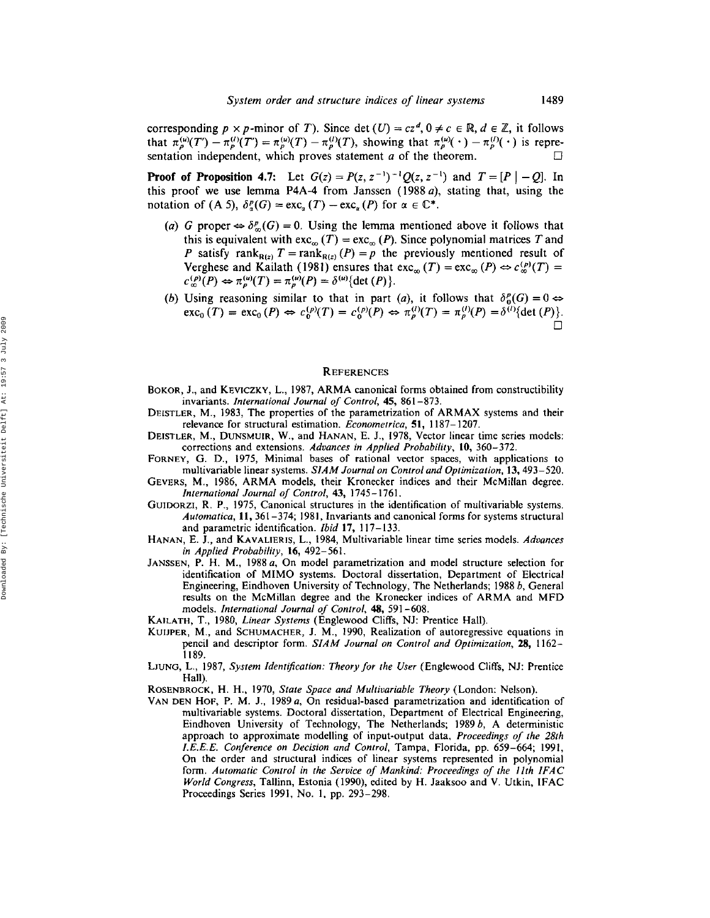corresponding  $p \times p$ -minor of T). Since det  $(U) = cz^d$ ,  $0 \neq c \in \mathbb{R}$ ,  $d \in \mathbb{Z}$ , it follows that  $\pi_{p}^{(\mu)}(T') - \pi_{p}^{(l)}(T) = \pi_{p}^{(\mu)}(T) - \pi_{p}^{(l)}(T)$ , showing that  $\pi_{p}^{(\mu)}(\cdot) - \pi_{p}^{(l)}(\cdot)$  is representation independent, which proves statement  $a$  of the theorem.  $\Box$ 

**Proof of Proposition 4.7:** Let  $G(z) = P(z, z^{-1})^{-1}Q(z, z^{-1})$  and  $T = [P \mid -Q]$ . In this proof we use lemma P4A-4 from Janssen (1988 *a),* stating that, using the notation of (A 5),  $\delta_{\alpha}^{p}(G) = \text{exc}_{\alpha}(T) - \text{exc}_{\alpha}(P)$  for  $\alpha \in \mathbb{C}^{*}$ .

- (a) G proper  $\Leftrightarrow \delta_{\infty}^p(G) = 0$ . Using the lemma mentioned above it follows that this is equivalent with  $\text{exc}_{\infty}(T) = \text{exc}_{\infty}(P)$ . Since polynomial matrices  $T$  and P satisfy rank<sub>R(z)</sub>  $T = \text{rank}_{R(z)}(P) = p$  the previously mentioned result of Verghese and Kailath (1981) ensures that  $\text{exc}_{\infty}(T) = \text{exc}_{\infty}(P) \Leftrightarrow c_{\infty}^{(p)}(T) =$  $c_{\infty}^{(p)}(P) \Leftrightarrow \pi_{p}^{(u)}(T) = \pi_{p}^{(u)}(P) = \delta^{(u)}\{\det(P)\}.$
- (b) Using reasoning similar to that in part (a), it follows that  $\delta_0^p(G) = 0 \Leftrightarrow$  $\text{exc}_{0}(T) = \text{exc}_{0}(P) \Leftrightarrow c_{0}^{(p)}(T) = c_{0}^{(p)}(P) \Leftrightarrow \pi_{p}^{(l)}(T) = \pi_{p}^{(l)}(P) = \delta^{(l)}\{\text{det}(P)\}\$

#### **REFERENCES**

- BOKOR, J., and KEVICZKV, L., 1987, ARMA canonical forms obtained from constructibility invariants. *International Journal of Control,* 45, 861-873.
- DEISTLER, M., 1983, The properties of the parametrization of ARMAX systems and their relevance for structural estimation. *Econometrica,* 51, 1187-1207.
- DEISTLER, M., DUNSMUIR, W., and HANAN, E. J., 1978, Vector linear time series models: corrections and extensions. *Advances in Applied Probability,* 10, 360-372.
- FORNEY, G. D., 1975, Minimal bases of rational vector spaces, with applications to multivariable linear systems. *SIAM Journal on Control and Optimization,* 13,493-520.
- GEVERS, M., 1986, ARMA models, their Kronecker indices and their McMillan degree. *International Journal of Control,* 43,1745-1761.
- GUIDORZI, R. P., 1975, Canonical structures in the identification of multivariable systems. *Automatica,* ll, 361-374; 1981, Invariants and canonical forms for systems structural and parametric identification. *Ibid* 17, 117-133.
- HANAN, E. J., and KAVALIERIS, L., 1984, Multivariable linear time series models. *Advances in Applied Probability,* 16, 492-561.
- JANSSEN, P. H. M., 1988*a,* On model parametrization and model structure selection for identification of MIMO systems. Doctoral dissertation, Department of Electrical Engineering, Eindhoven University of Technology, The Netherlands; 1988 b, General results on the McMillan degree and the Kronecker indices of ARMA and MFD models. *International Journal of Control,* 48, 591-608.
- KAILATH, T., 1980, *Linear Systems* (Englewood Cliffs, NJ: Prentice Hall).
- KUIJPER, M., and SCHUMACHER, J. M., 1990, Realization of autoregressive equations in pencil and descriptor form. *SIAM Journal on Control and Optimization,* 28, 1162- 1189.
- LJUNG, L., 1987, *System Identification: Theory for the User* (Englewood Cliffs, NJ: Prentice Hall).
- ROSENBROCK, H. H., 1970, *State Space and Multivariable Theory* (London: Nelson).
- VAN DEN HOF, P. M. J., 1989*a,* On residual-based parametrization and identification of multivariable systems. Doctoral dissertation, Department of Electrical Engineering, Eindhoven University of Technology, The Netherlands; 1989  $b$ , A deterministic approach to approximate modelling of input-output data, *Proceedings of the 28th I.E.E.E. Conference on Decision and Control,* Tampa, Florida, pp. 659-664; 1991, On the order and structural indices of linear systems represented in polynomial form. *Automatic Control in the Service of Mankind: Proceedings of the Ilth IFAC World Congress,* Tallinn, Estonia (1990), edited by H. Jaaksoo and V. Utkin, IFAC Proceedings Series 1991, No. I. pp. 293-298.